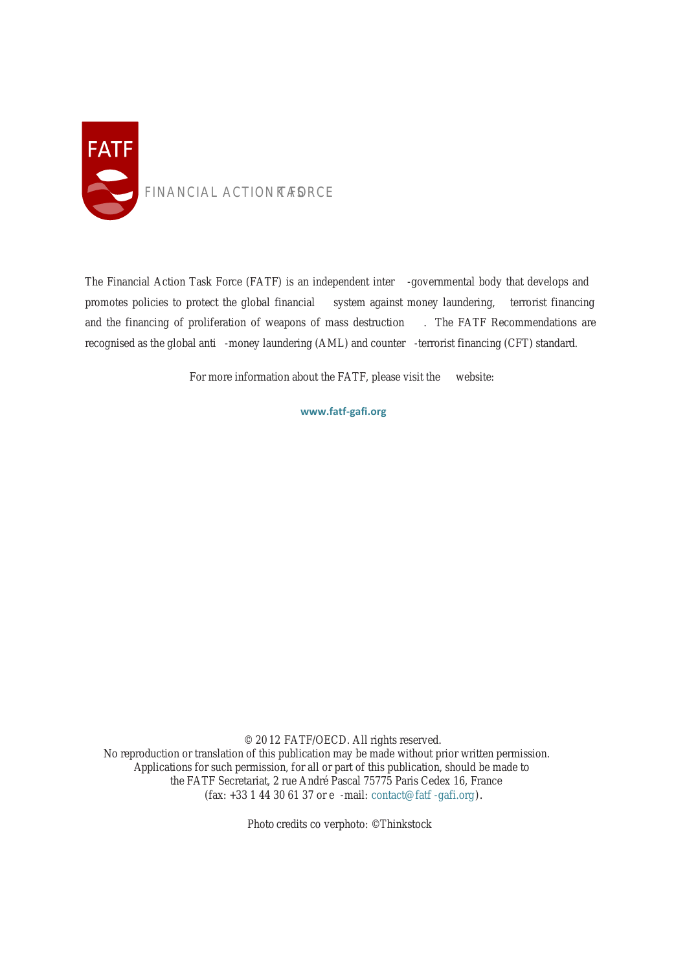

The Financial Action Task Force (FATF) is an independent inter -governmental body that develops and promotes policies to protect the global financial system against money laundering, terrorist financing and the financing of proliferation of weapons of mass destruction . The FATF Recommendations are recognised as the global anti -money laundering (AML) and counter -terrorist financing (CFT) standard.

For more information about the FATF, please visit the website:

**www.fatf-gafi.org**

© 2012 FATF/OECD. All rights reserved. No reproduction or translation of this publication may be made without prior written permission. A pplications for such permission, for all or part of this publication, should be made to the FATF Secretariat, 2 rue André Pascal 75775 Paris Cedex 16, France (fax: +33 1 44 30 61 37 or e-mail: contact@fatf-gafi.org ).

Photo credits coverphoto: ©Thinkstock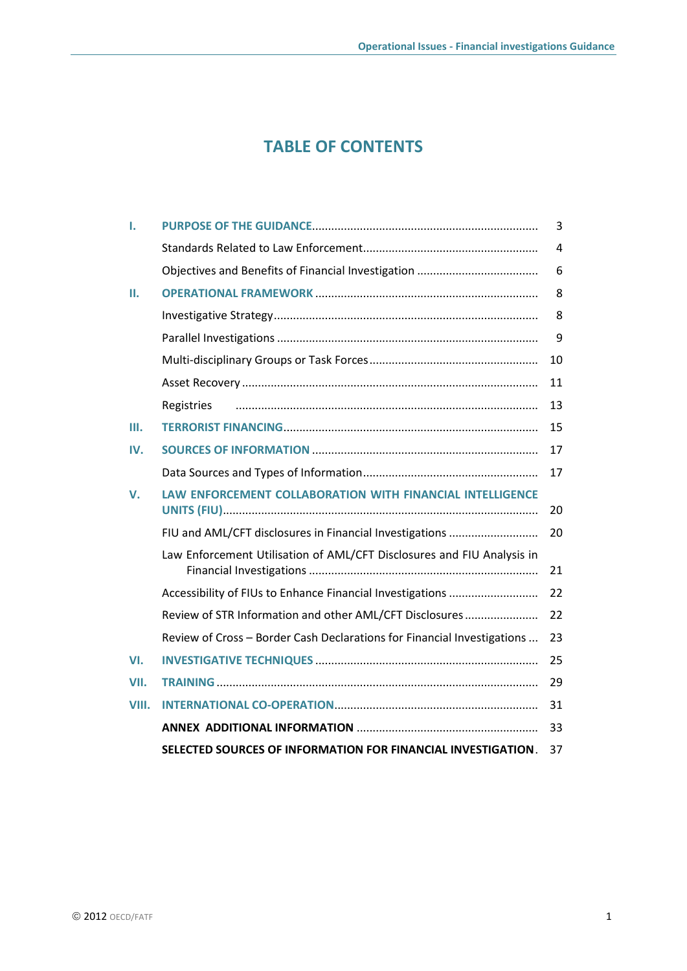# **TABLE OF CONTENTS**

| ı.    |                                                                         | 3              |
|-------|-------------------------------------------------------------------------|----------------|
|       |                                                                         | $\overline{4}$ |
|       |                                                                         | 6              |
| н.    |                                                                         | 8              |
|       |                                                                         | 8              |
|       |                                                                         | 9              |
|       |                                                                         | 10             |
|       |                                                                         | 11             |
|       | Registries                                                              | 13             |
| Ш.    |                                                                         | 15             |
| IV.   |                                                                         | 17             |
|       |                                                                         | 17             |
| V.    | LAW ENFORCEMENT COLLABORATION WITH FINANCIAL INTELLIGENCE               | 20             |
|       | FIU and AML/CFT disclosures in Financial Investigations                 | 20             |
|       | Law Enforcement Utilisation of AML/CFT Disclosures and FIU Analysis in  | 21             |
|       | Accessibility of FIUs to Enhance Financial Investigations               | 22             |
|       | Review of STR Information and other AML/CFT Disclosures                 | 22             |
|       | Review of Cross - Border Cash Declarations for Financial Investigations | 23             |
| VI.   |                                                                         | 25             |
| VII.  |                                                                         | 29             |
| VIII. |                                                                         | 31             |
|       |                                                                         | 33             |
|       | SELECTED SOURCES OF INFORMATION FOR FINANCIAL INVESTIGATION.            | 37             |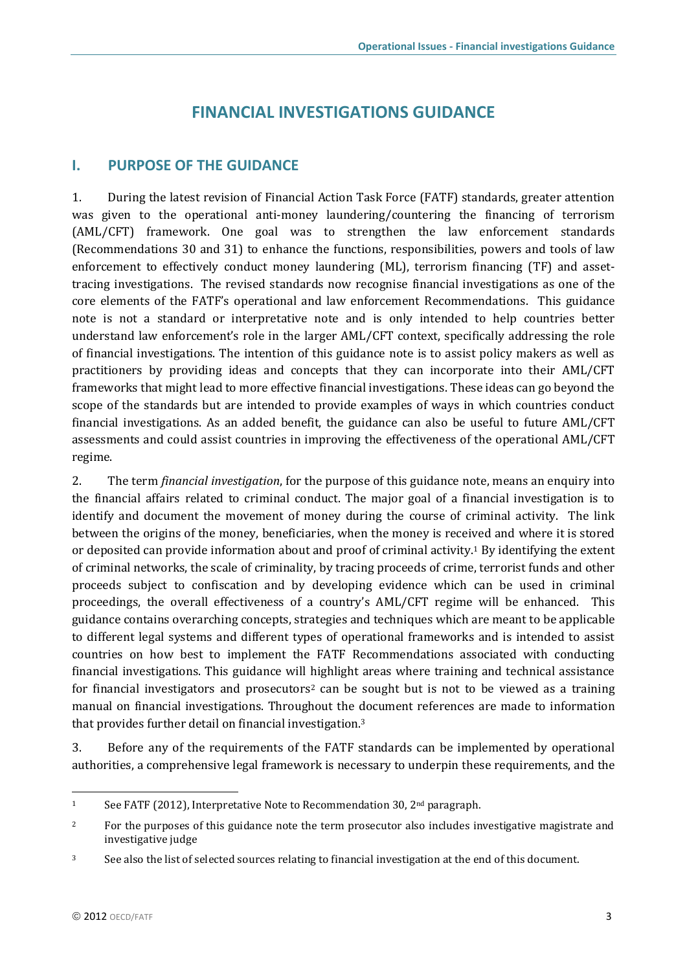# **FINANCIAL INVESTIGATIONS GUIDANCE**

## <span id="page-4-0"></span>**I. PURPOSE OF THE GUIDANCE**

1. During the latest revision of Financial Action Task Force (FATF) standards, greater attention was given to the operational anti-money laundering/countering the financing of terrorism (AML/CFT) framework. One goal was to strengthen the law enforcement standards (Recommendations 30 and 31) to enhance the functions, responsibilities, powers and tools of law enforcement to effectively conduct money laundering (ML), terrorism financing (TF) and assettracing investigations. The revised standards now recognise financial investigations as one of the core elements of the FATF's operational and law enforcement Recommendations. This guidance note is not a standard or interpretative note and is only intended to help countries better understand law enforcement's role in the larger AML/CFT context, specifically addressing the role of financial investigations. The intention of this guidance note is to assist policy makers as well as practitioners by providing ideas and concepts that they can incorporate into their AML/CFT frameworks that might lead to more effective financial investigations. These ideas can go beyond the scope of the standards but are intended to provide examples of ways in which countries conduct financial investigations. As an added benefit, the guidance can also be useful to future AML/CFT assessments and could assist countries in improving the effectiveness of the operational AML/CFT regime.

2. The term *financial investigation*, for the purpose of this guidance note, means an enquiry into the financial affairs related to criminal conduct. The major goal of a financial investigation is to identify and document the movement of money during the course of criminal activity. The link between the origins of the money, beneficiaries, when the money is received and where it is stored or deposited can provide information about and proof of criminal activity.<sup>1</sup> By identifying the extent of criminal networks, the scale of criminality, by tracing proceeds of crime, terrorist funds and other proceeds subject to confiscation and by developing evidence which can be used in criminal proceedings, the overall effectiveness of a country's AML/CFT regime will be enhanced. This guidance contains overarching concepts, strategies and techniques which are meant to be applicable to different legal systems and different types of operational frameworks and is intended to assist countries on how best to implement the FATF Recommendations associated with conducting financial investigations. This guidance will highlight areas where training and technical assistance for financial investigators and prosecutors<sup>2</sup> can be sought but is not to be viewed as a training manual on financial investigations. Throughout the document references are made to information that provides further detail on financial investigation.<sup>3</sup>

3. Before any of the requirements of the FATF standards can be implemented by operational authorities, a comprehensive legal framework is necessary to underpin these requirements, and the

<sup>&</sup>lt;sup>1</sup> See FATF (2012), Interpretative Note to Recommendation 30, 2<sup>nd</sup> paragraph.

<sup>&</sup>lt;sup>2</sup> For the purposes of this guidance note the term prosecutor also includes investigative magistrate and investigative judge

<sup>&</sup>lt;sup>3</sup> See also the list of selected sources relating to financial investigation at the end of this document.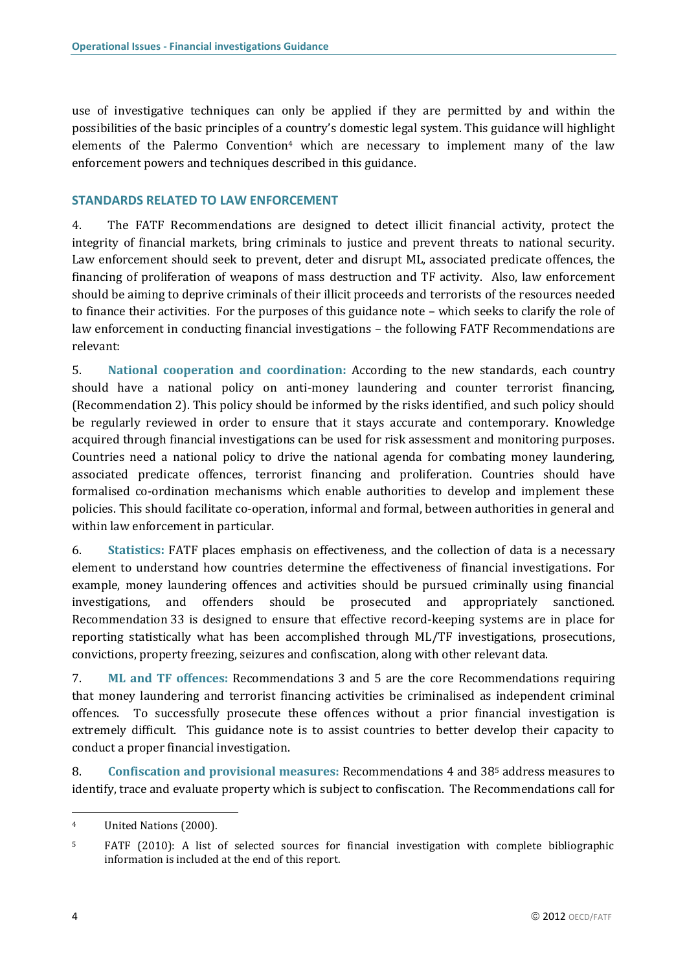use of investigative techniques can only be applied if they are permitted by and within the possibilities of the basic principles of a country's domestic legal system. This guidance will highlight elements of the Palermo Convention<sup>4</sup> which are necessary to implement many of the law enforcement powers and techniques described in this guidance.

#### <span id="page-5-0"></span>**STANDARDS RELATED TO LAW ENFORCEMENT**

4. The FATF Recommendations are designed to detect illicit financial activity, protect the integrity of financial markets, bring criminals to justice and prevent threats to national security. Law enforcement should seek to prevent, deter and disrupt ML, associated predicate offences, the financing of proliferation of weapons of mass destruction and TF activity. Also, law enforcement should be aiming to deprive criminals of their illicit proceeds and terrorists of the resources needed to finance their activities. For the purposes of this guidance note – which seeks to clarify the role of law enforcement in conducting financial investigations – the following FATF Recommendations are relevant:

5. **National cooperation and coordination:** According to the new standards, each country should have a national policy on anti-money laundering and counter terrorist financing, (Recommendation 2). This policy should be informed by the risks identified, and such policy should be regularly reviewed in order to ensure that it stays accurate and contemporary. Knowledge acquired through financial investigations can be used for risk assessment and monitoring purposes. Countries need a national policy to drive the national agenda for combating money laundering, associated predicate offences, terrorist financing and proliferation. Countries should have formalised co-ordination mechanisms which enable authorities to develop and implement these policies. This should facilitate co-operation, informal and formal, between authorities in general and within law enforcement in particular.

6. **Statistics:** FATF places emphasis on effectiveness, and the collection of data is a necessary element to understand how countries determine the effectiveness of financial investigations. For example, money laundering offences and activities should be pursued criminally using financial investigations, and offenders should be prosecuted and appropriately sanctioned. Recommendation 33 is designed to ensure that effective record-keeping systems are in place for reporting statistically what has been accomplished through ML/TF investigations, prosecutions, convictions, property freezing, seizures and confiscation, along with other relevant data.

7. **ML and TF offences:** Recommendations 3 and 5 are the core Recommendations requiring that money laundering and terrorist financing activities be criminalised as independent criminal offences. To successfully prosecute these offences without a prior financial investigation is extremely difficult. This guidance note is to assist countries to better develop their capacity to conduct a proper financial investigation.

8. **Confiscation and provisional measures:** Recommendations 4 and 38<sup>5</sup> address measures to identify, trace and evaluate property which is subject to confiscation. The Recommendations call for

<sup>4</sup> United Nations (2000).

<sup>5</sup> FATF (2010): A list of selected sources for financial investigation with complete bibliographic information is included at the end of this report.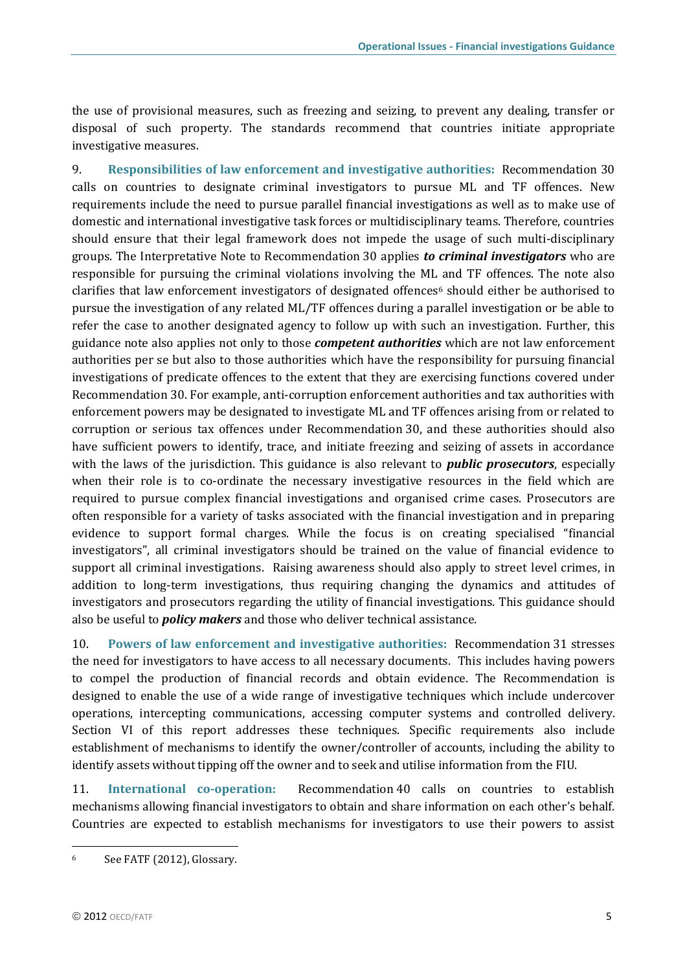the use of provisional measures, such as freezing and seizing, to prevent any dealing, transfer or disposal of such property. The standards recommend that countries initiate appropriate investigative measures.

9. **Responsibilities of law enforcement and investigative authorities:** Recommendation 30 calls on countries to designate criminal investigators to pursue ML and TF offences. New requirements include the need to pursue parallel financial investigations as well as to make use of domestic and international investigative task forces or multidisciplinary teams. Therefore, countries should ensure that their legal framework does not impede the usage of such multi-disciplinary groups. The Interpretative Note to Recommendation 30 applies *to criminal investigators* who are responsible for pursuing the criminal violations involving the ML and TF offences. The note also clarifies that law enforcement investigators of designated offences<sup>6</sup> should either be authorised to pursue the investigation of any related ML/TF offences during a parallel investigation or be able to refer the case to another designated agency to follow up with such an investigation. Further, this guidance note also applies not only to those *competent authorities* which are not law enforcement authorities per se but also to those authorities which have the responsibility for pursuing financial investigations of predicate offences to the extent that they are exercising functions covered under Recommendation 30. For example, anti-corruption enforcement authorities and tax authorities with enforcement powers may be designated to investigate ML and TF offences arising from or related to corruption or serious tax offences under Recommendation 30, and these authorities should also have sufficient powers to identify, trace, and initiate freezing and seizing of assets in accordance with the laws of the jurisdiction. This guidance is also relevant to *public prosecutors*, especially when their role is to co-ordinate the necessary investigative resources in the field which are required to pursue complex financial investigations and organised crime cases. Prosecutors are often responsible for a variety of tasks associated with the financial investigation and in preparing evidence to support formal charges. While the focus is on creating specialised "financial investigators", all criminal investigators should be trained on the value of financial evidence to support all criminal investigations. Raising awareness should also apply to street level crimes, in addition to long-term investigations, thus requiring changing the dynamics and attitudes of investigators and prosecutors regarding the utility of financial investigations. This guidance should also be useful to *policy makers* and those who deliver technical assistance.

10. **Powers of law enforcement and investigative authorities:** Recommendation 31 stresses the need for investigators to have access to all necessary documents. This includes having powers to compel the production of financial records and obtain evidence. The Recommendation is designed to enable the use of a wide range of investigative techniques which include undercover operations, intercepting communications, accessing computer systems and controlled delivery. Section VI of this report addresses these techniques. Specific requirements also include establishment of mechanisms to identify the owner/controller of accounts, including the ability to identify assets without tipping off the owner and to seek and utilise information from the FIU.

11. **International co-operation:** Recommendation 40 calls on countries to establish mechanisms allowing financial investigators to obtain and share information on each other's behalf. Countries are expected to establish mechanisms for investigators to use their powers to assist

<sup>6</sup> See FATF (2012), Glossary.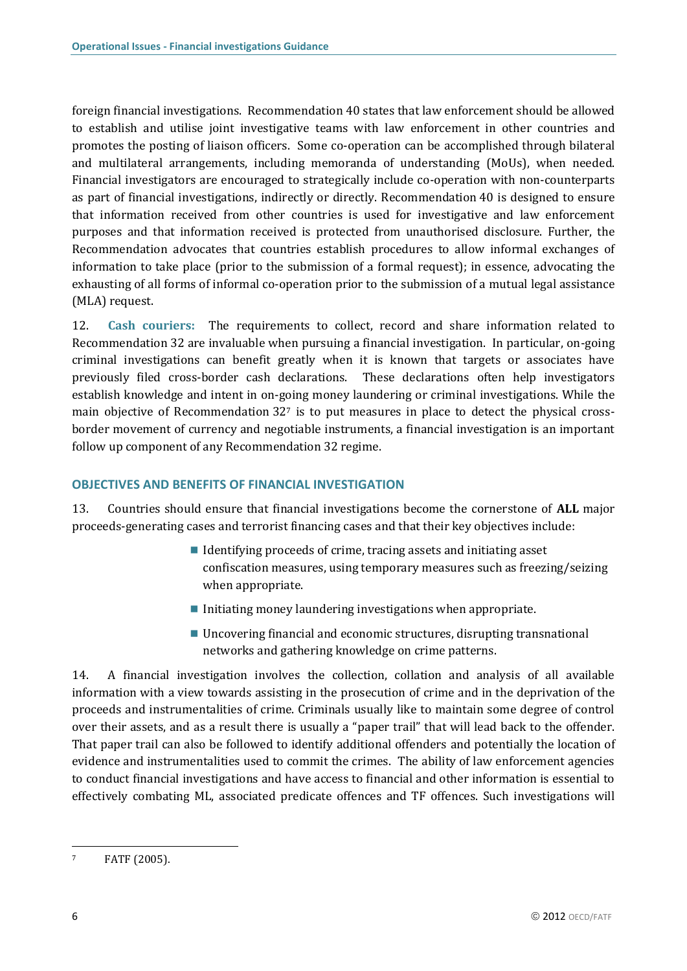foreign financial investigations. Recommendation 40 states that law enforcement should be allowed to establish and utilise joint investigative teams with law enforcement in other countries and promotes the posting of liaison officers. Some co-operation can be accomplished through bilateral and multilateral arrangements, including memoranda of understanding (MoUs), when needed. Financial investigators are encouraged to strategically include co-operation with non-counterparts as part of financial investigations, indirectly or directly. Recommendation 40 is designed to ensure that information received from other countries is used for investigative and law enforcement purposes and that information received is protected from unauthorised disclosure. Further, the Recommendation advocates that countries establish procedures to allow informal exchanges of information to take place (prior to the submission of a formal request); in essence, advocating the exhausting of all forms of informal co-operation prior to the submission of a mutual legal assistance (MLA) request.

12. **Cash couriers:** The requirements to collect, record and share information related to Recommendation 32 are invaluable when pursuing a financial investigation. In particular, on-going criminal investigations can benefit greatly when it is known that targets or associates have previously filed cross-border cash declarations. These declarations often help investigators establish knowledge and intent in on-going money laundering or criminal investigations. While the main objective of Recommendation 32<sup>7</sup> is to put measures in place to detect the physical crossborder movement of currency and negotiable instruments, a financial investigation is an important follow up component of any Recommendation 32 regime.

### <span id="page-7-0"></span>**OBJECTIVES AND BENEFITS OF FINANCIAL INVESTIGATION**

13. Countries should ensure that financial investigations become the cornerstone of **ALL** major proceeds-generating cases and terrorist financing cases and that their key objectives include:

- I Identifying proceeds of crime, tracing assets and initiating asset confiscation measures, using temporary measures such as freezing/seizing when appropriate.
- $\blacksquare$  Initiating money laundering investigations when appropriate.
- Uncovering financial and economic structures, disrupting transnational networks and gathering knowledge on crime patterns.

14. A financial investigation involves the collection, collation and analysis of all available information with a view towards assisting in the prosecution of crime and in the deprivation of the proceeds and instrumentalities of crime. Criminals usually like to maintain some degree of control over their assets, and as a result there is usually a "paper trail" that will lead back to the offender. That paper trail can also be followed to identify additional offenders and potentially the location of evidence and instrumentalities used to commit the crimes. The ability of law enforcement agencies to conduct financial investigations and have access to financial and other information is essential to effectively combating ML, associated predicate offences and TF offences. Such investigations will

<sup>7</sup> FATF (2005).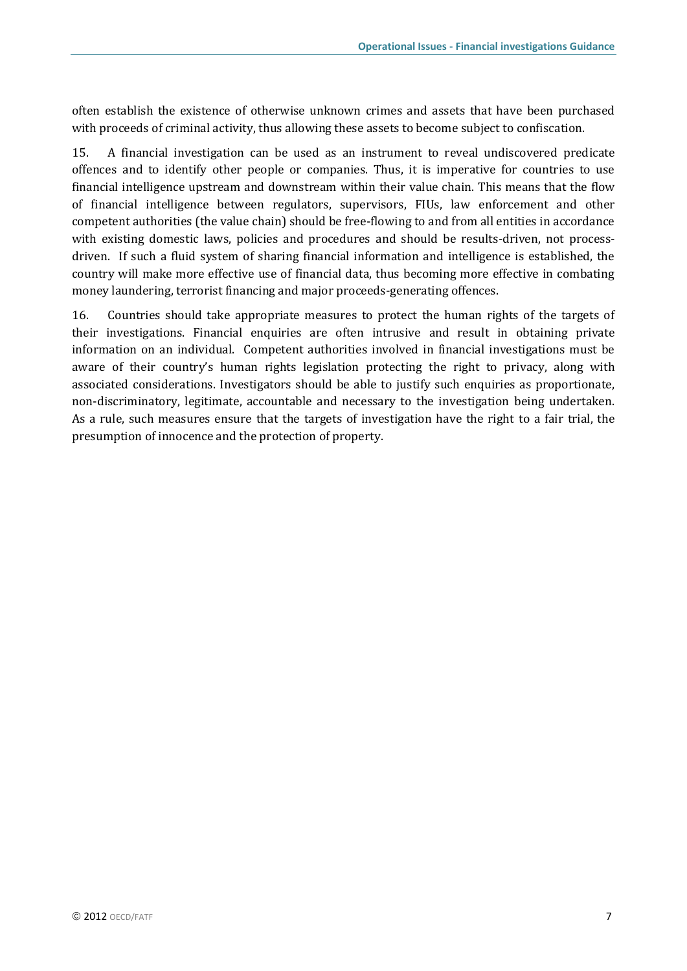often establish the existence of otherwise unknown crimes and assets that have been purchased with proceeds of criminal activity, thus allowing these assets to become subject to confiscation.

15. A financial investigation can be used as an instrument to reveal undiscovered predicate offences and to identify other people or companies. Thus, it is imperative for countries to use financial intelligence upstream and downstream within their value chain. This means that the flow of financial intelligence between regulators, supervisors, FIUs, law enforcement and other competent authorities (the value chain) should be free-flowing to and from all entities in accordance with existing domestic laws, policies and procedures and should be results-driven, not processdriven. If such a fluid system of sharing financial information and intelligence is established, the country will make more effective use of financial data, thus becoming more effective in combating money laundering, terrorist financing and major proceeds-generating offences.

16. Countries should take appropriate measures to protect the human rights of the targets of their investigations. Financial enquiries are often intrusive and result in obtaining private information on an individual. Competent authorities involved in financial investigations must be aware of their country's human rights legislation protecting the right to privacy, along with associated considerations. Investigators should be able to justify such enquiries as proportionate, non-discriminatory, legitimate, accountable and necessary to the investigation being undertaken. As a rule, such measures ensure that the targets of investigation have the right to a fair trial, the presumption of innocence and the protection of property.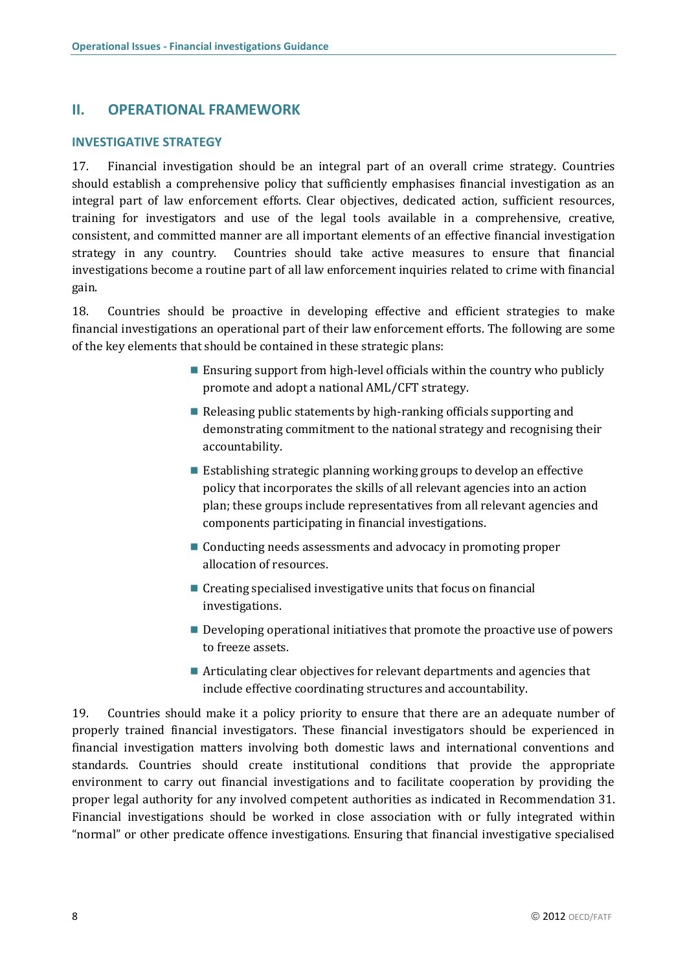### <span id="page-9-0"></span>**II. OPERATIONAL FRAMEWORK**

#### <span id="page-9-1"></span>**INVESTIGATIVE STRATEGY**

17. Financial investigation should be an integral part of an overall crime strategy. Countries should establish a comprehensive policy that sufficiently emphasises financial investigation as an integral part of law enforcement efforts. Clear objectives, dedicated action, sufficient resources, training for investigators and use of the legal tools available in a comprehensive, creative, consistent, and committed manner are all important elements of an effective financial investigation strategy in any country. Countries should take active measures to ensure that financial investigations become a routine part of all law enforcement inquiries related to crime with financial gain.

18. Countries should be proactive in developing effective and efficient strategies to make financial investigations an operational part of their law enforcement efforts. The following are some of the key elements that should be contained in these strategic plans:

- $\blacksquare$  Ensuring support from high-level officials within the country who publicly promote and adopt a national AML/CFT strategy.
- Releasing public statements by high-ranking officials supporting and demonstrating commitment to the national strategy and recognising their accountability.
- $\blacksquare$  Establishing strategic planning working groups to develop an effective policy that incorporates the skills of all relevant agencies into an action plan; these groups include representatives from all relevant agencies and components participating in financial investigations.
- Conducting needs assessments and advocacy in promoting proper allocation of resources.
- $\blacksquare$  Creating specialised investigative units that focus on financial investigations.
- **Developing operational initiatives that promote the proactive use of powers** to freeze assets.
- Articulating clear objectives for relevant departments and agencies that include effective coordinating structures and accountability.

19. Countries should make it a policy priority to ensure that there are an adequate number of properly trained financial investigators. These financial investigators should be experienced in financial investigation matters involving both domestic laws and international conventions and standards. Countries should create institutional conditions that provide the appropriate environment to carry out financial investigations and to facilitate cooperation by providing the proper legal authority for any involved competent authorities as indicated in Recommendation 31. Financial investigations should be worked in close association with or fully integrated within "normal" or other predicate offence investigations. Ensuring that financial investigative specialised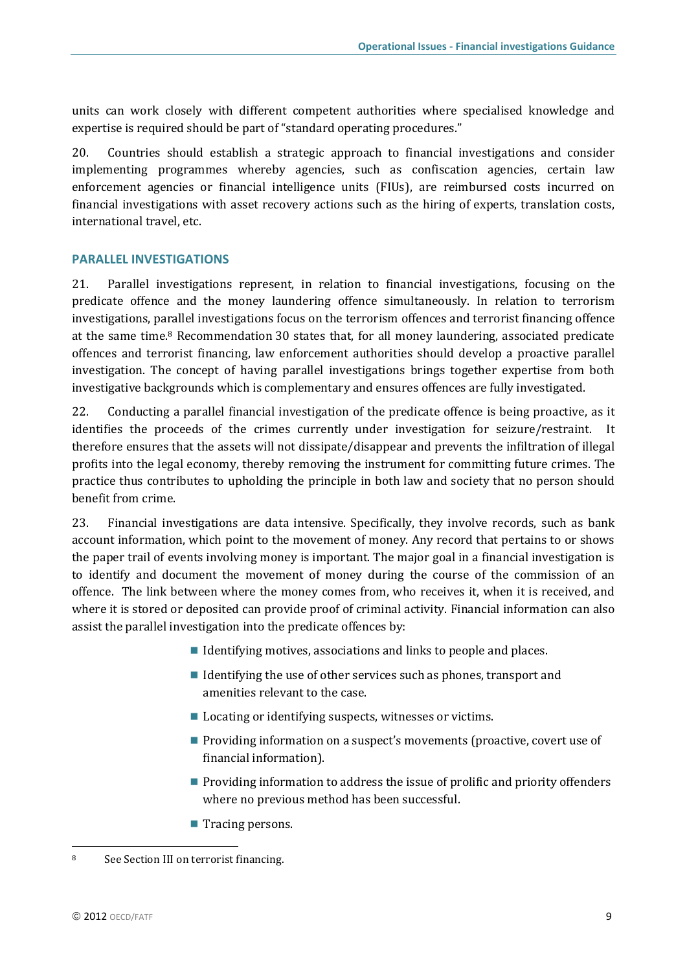units can work closely with different competent authorities where specialised knowledge and expertise is required should be part of "standard operating procedures."

20. Countries should establish a strategic approach to financial investigations and consider implementing programmes whereby agencies, such as confiscation agencies, certain law enforcement agencies or financial intelligence units (FIUs), are reimbursed costs incurred on financial investigations with asset recovery actions such as the hiring of experts, translation costs, international travel, etc.

### <span id="page-10-0"></span>**PARALLEL INVESTIGATIONS**

21. Parallel investigations represent, in relation to financial investigations, focusing on the predicate offence and the money laundering offence simultaneously. In relation to terrorism investigations, parallel investigations focus on the terrorism offences and terrorist financing offence at the same time.<sup>8</sup> Recommendation 30 states that, for all money laundering, associated predicate offences and terrorist financing, law enforcement authorities should develop a proactive parallel investigation. The concept of having parallel investigations brings together expertise from both investigative backgrounds which is complementary and ensures offences are fully investigated.

22. Conducting a parallel financial investigation of the predicate offence is being proactive, as it identifies the proceeds of the crimes currently under investigation for seizure/restraint. It therefore ensures that the assets will not dissipate/disappear and prevents the infiltration of illegal profits into the legal economy, thereby removing the instrument for committing future crimes. The practice thus contributes to upholding the principle in both law and society that no person should benefit from crime.

23. Financial investigations are data intensive. Specifically, they involve records, such as bank account information, which point to the movement of money. Any record that pertains to or shows the paper trail of events involving money is important. The major goal in a financial investigation is to identify and document the movement of money during the course of the commission of an offence. The link between where the money comes from, who receives it, when it is received, and where it is stored or deposited can provide proof of criminal activity. Financial information can also assist the parallel investigation into the predicate offences by:

- I Identifying motives, associations and links to people and places.
- I Identifying the use of other services such as phones, transport and amenities relevant to the case.
- Locating or identifying suspects, witnesses or victims.
- **Providing information on a suspect's movements (proactive, covert use of** financial information).
- **Providing information to address the issue of prolific and priority offenders** where no previous method has been successful.
- $\blacksquare$  Tracing persons.

<sup>8</sup> See Section III on terrorist financing.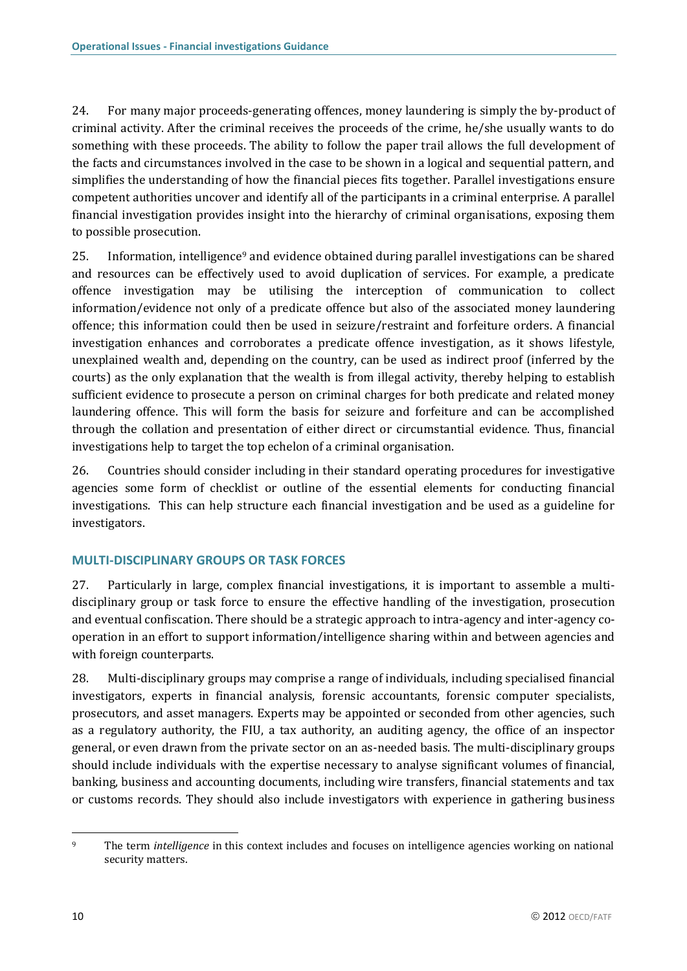24. For many major proceeds-generating offences, money laundering is simply the by-product of criminal activity. After the criminal receives the proceeds of the crime, he/she usually wants to do something with these proceeds. The ability to follow the paper trail allows the full development of the facts and circumstances involved in the case to be shown in a logical and sequential pattern, and simplifies the understanding of how the financial pieces fits together. Parallel investigations ensure competent authorities uncover and identify all of the participants in a criminal enterprise. A parallel financial investigation provides insight into the hierarchy of criminal organisations, exposing them to possible prosecution.

25. Information, intelligence<sup>9</sup> and evidence obtained during parallel investigations can be shared and resources can be effectively used to avoid duplication of services. For example, a predicate offence investigation may be utilising the interception of communication to collect information/evidence not only of a predicate offence but also of the associated money laundering offence; this information could then be used in seizure/restraint and forfeiture orders. A financial investigation enhances and corroborates a predicate offence investigation, as it shows lifestyle, unexplained wealth and, depending on the country, can be used as indirect proof (inferred by the courts) as the only explanation that the wealth is from illegal activity, thereby helping to establish sufficient evidence to prosecute a person on criminal charges for both predicate and related money laundering offence. This will form the basis for seizure and forfeiture and can be accomplished through the collation and presentation of either direct or circumstantial evidence. Thus, financial investigations help to target the top echelon of a criminal organisation.

26. Countries should consider including in their standard operating procedures for investigative agencies some form of checklist or outline of the essential elements for conducting financial investigations. This can help structure each financial investigation and be used as a guideline for investigators.

### <span id="page-11-0"></span>**MULTI-DISCIPLINARY GROUPS OR TASK FORCES**

27. Particularly in large, complex financial investigations, it is important to assemble a multidisciplinary group or task force to ensure the effective handling of the investigation, prosecution and eventual confiscation. There should be a strategic approach to intra-agency and inter-agency cooperation in an effort to support information/intelligence sharing within and between agencies and with foreign counterparts.

28. Multi-disciplinary groups may comprise a range of individuals, including specialised financial investigators, experts in financial analysis, forensic accountants, forensic computer specialists, prosecutors, and asset managers. Experts may be appointed or seconded from other agencies, such as a regulatory authority, the FIU, a tax authority, an auditing agency, the office of an inspector general, or even drawn from the private sector on an as-needed basis. The multi-disciplinary groups should include individuals with the expertise necessary to analyse significant volumes of financial, banking, business and accounting documents, including wire transfers, financial statements and tax or customs records. They should also include investigators with experience in gathering business

 $\overline{\phantom{a}}$ 

<sup>9</sup> The term *intelligence* in this context includes and focuses on intelligence agencies working on national security matters.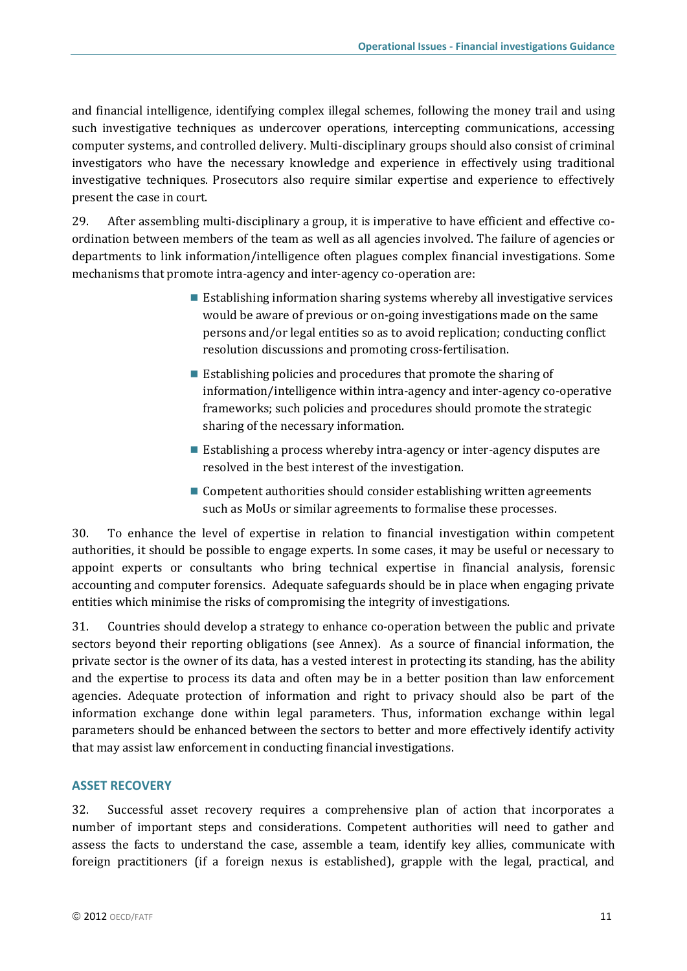and financial intelligence, identifying complex illegal schemes, following the money trail and using such investigative techniques as undercover operations, intercepting communications, accessing computer systems, and controlled delivery. Multi-disciplinary groups should also consist of criminal investigators who have the necessary knowledge and experience in effectively using traditional investigative techniques. Prosecutors also require similar expertise and experience to effectively present the case in court.

29. After assembling multi-disciplinary a group, it is imperative to have efficient and effective coordination between members of the team as well as all agencies involved. The failure of agencies or departments to link information/intelligence often plagues complex financial investigations. Some mechanisms that promote intra-agency and inter-agency co-operation are:

- $\blacksquare$  Establishing information sharing systems whereby all investigative services would be aware of previous or on-going investigations made on the same persons and/or legal entities so as to avoid replication; conducting conflict resolution discussions and promoting cross-fertilisation.
- Establishing policies and procedures that promote the sharing of information/intelligence within intra-agency and inter-agency co-operative frameworks; such policies and procedures should promote the strategic sharing of the necessary information.
- Establishing a process whereby intra-agency or inter-agency disputes are resolved in the best interest of the investigation.
- Competent authorities should consider establishing written agreements such as MoUs or similar agreements to formalise these processes.

30. To enhance the level of expertise in relation to financial investigation within competent authorities, it should be possible to engage experts. In some cases, it may be useful or necessary to appoint experts or consultants who bring technical expertise in financial analysis, forensic accounting and computer forensics. Adequate safeguards should be in place when engaging private entities which minimise the risks of compromising the integrity of investigations.

31. Countries should develop a strategy to enhance co-operation between the public and private sectors beyond their reporting obligations (see Annex). As a source of financial information, the private sector is the owner of its data, has a vested interest in protecting its standing, has the ability and the expertise to process its data and often may be in a better position than law enforcement agencies. Adequate protection of information and right to privacy should also be part of the information exchange done within legal parameters. Thus, information exchange within legal parameters should be enhanced between the sectors to better and more effectively identify activity that may assist law enforcement in conducting financial investigations.

### <span id="page-12-0"></span>**ASSET RECOVERY**

32. Successful asset recovery requires a comprehensive plan of action that incorporates a number of important steps and considerations. Competent authorities will need to gather and assess the facts to understand the case, assemble a team, identify key allies, communicate with foreign practitioners (if a foreign nexus is established), grapple with the legal, practical, and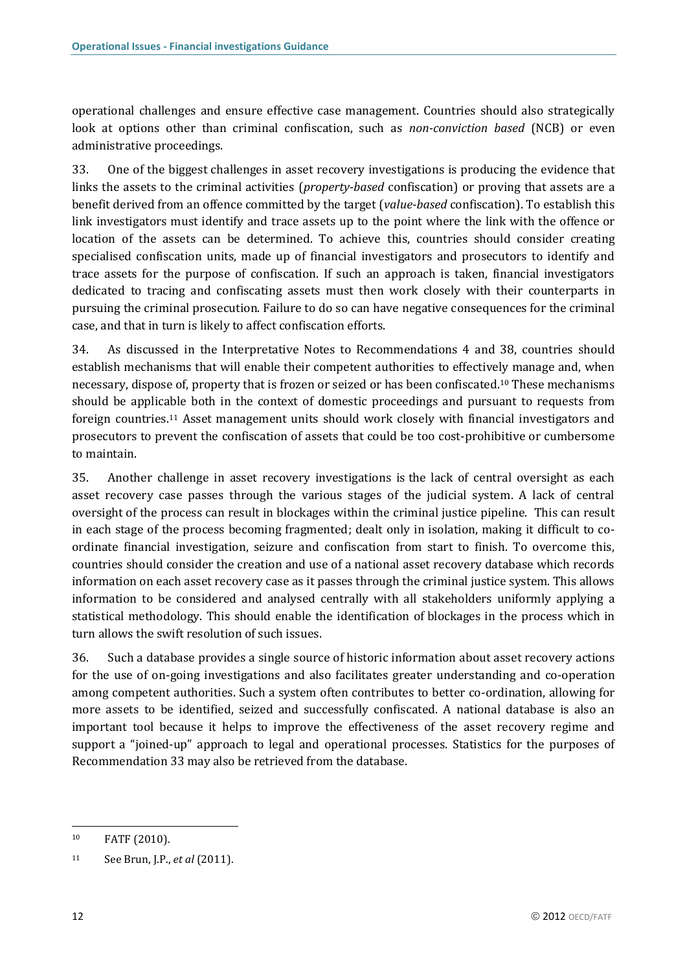operational challenges and ensure effective case management. Countries should also strategically look at options other than criminal confiscation, such as *non-conviction based* (NCB) or even administrative proceedings.

33. One of the biggest challenges in asset recovery investigations is producing the evidence that links the assets to the criminal activities (*property-based* confiscation) or proving that assets are a benefit derived from an offence committed by the target (*value-based* confiscation). To establish this link investigators must identify and trace assets up to the point where the link with the offence or location of the assets can be determined. To achieve this, countries should consider creating specialised confiscation units, made up of financial investigators and prosecutors to identify and trace assets for the purpose of confiscation. If such an approach is taken, financial investigators dedicated to tracing and confiscating assets must then work closely with their counterparts in pursuing the criminal prosecution. Failure to do so can have negative consequences for the criminal case, and that in turn is likely to affect confiscation efforts.

34. As discussed in the Interpretative Notes to Recommendations 4 and 38, countries should establish mechanisms that will enable their competent authorities to effectively manage and, when necessary, dispose of, property that is frozen or seized or has been confiscated.<sup>10</sup> These mechanisms should be applicable both in the context of domestic proceedings and pursuant to requests from foreign countries.<sup>11</sup> Asset management units should work closely with financial investigators and prosecutors to prevent the confiscation of assets that could be too cost-prohibitive or cumbersome to maintain.

35. Another challenge in asset recovery investigations is the lack of central oversight as each asset recovery case passes through the various stages of the judicial system. A lack of central oversight of the process can result in blockages within the criminal justice pipeline. This can result in each stage of the process becoming fragmented; dealt only in isolation, making it difficult to coordinate financial investigation, seizure and confiscation from start to finish. To overcome this, countries should consider the creation and use of a national asset recovery database which records information on each asset recovery case as it passes through the criminal justice system. This allows information to be considered and analysed centrally with all stakeholders uniformly applying a statistical methodology. This should enable the identification of blockages in the process which in turn allows the swift resolution of such issues.

36. Such a database provides a single source of historic information about asset recovery actions for the use of on-going investigations and also facilitates greater understanding and co-operation among competent authorities. Such a system often contributes to better co-ordination, allowing for more assets to be identified, seized and successfully confiscated. A national database is also an important tool because it helps to improve the effectiveness of the asset recovery regime and support a "joined-up" approach to legal and operational processes. Statistics for the purposes of Recommendation 33 may also be retrieved from the database.

 $\overline{\phantom{a}}$ 

<sup>10</sup> FATF (2010).

<sup>11</sup> See Brun, J.P., *et al* (2011).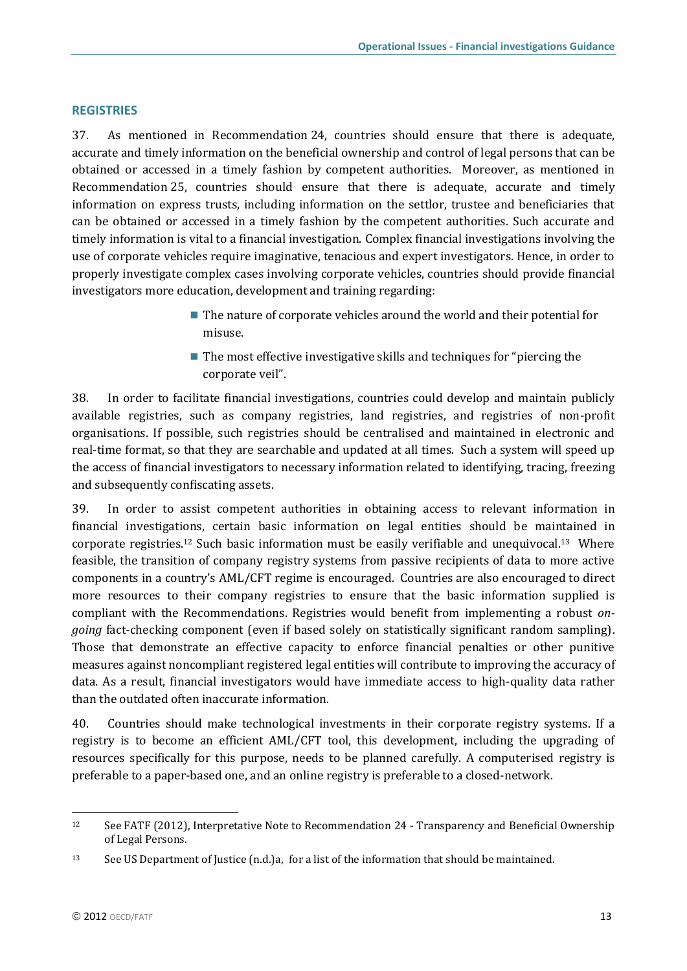### <span id="page-14-0"></span>**REGISTRIES**

37. As mentioned in Recommendation 24, countries should ensure that there is adequate, accurate and timely information on the beneficial ownership and control of legal persons that can be obtained or accessed in a timely fashion by competent authorities. Moreover, as mentioned in Recommendation 25, countries should ensure that there is adequate, accurate and timely information on express trusts, including information on the settlor, trustee and beneficiaries that can be obtained or accessed in a timely fashion by the competent authorities. Such accurate and timely information is vital to a financial investigation. Complex financial investigations involving the use of corporate vehicles require imaginative, tenacious and expert investigators. Hence, in order to properly investigate complex cases involving corporate vehicles, countries should provide financial investigators more education, development and training regarding:

- The nature of corporate vehicles around the world and their potential for misuse.
- $\blacksquare$  The most effective investigative skills and techniques for "piercing the corporate veil".

38. In order to facilitate financial investigations, countries could develop and maintain publicly available registries, such as company registries, land registries, and registries of non-profit organisations. If possible, such registries should be centralised and maintained in electronic and real-time format, so that they are searchable and updated at all times. Such a system will speed up the access of financial investigators to necessary information related to identifying, tracing, freezing and subsequently confiscating assets.

39. In order to assist competent authorities in obtaining access to relevant information in financial investigations, certain basic information on legal entities should be maintained in corporate registries.<sup>12</sup> Such basic information must be easily verifiable and unequivocal.<sup>13</sup> Where feasible, the transition of company registry systems from passive recipients of data to more active components in a country's AML/CFT regime is encouraged. Countries are also encouraged to direct more resources to their company registries to ensure that the basic information supplied is compliant with the Recommendations. Registries would benefit from implementing a robust *ongoing* fact-checking component (even if based solely on statistically significant random sampling). Those that demonstrate an effective capacity to enforce financial penalties or other punitive measures against noncompliant registered legal entities will contribute to improving the accuracy of data. As a result, financial investigators would have immediate access to high-quality data rather than the outdated often inaccurate information.

40. Countries should make technological investments in their corporate registry systems. If a registry is to become an efficient AML/CFT tool, this development, including the upgrading of resources specifically for this purpose, needs to be planned carefully. A computerised registry is preferable to a paper-based one, and an online registry is preferable to a closed-network.

<sup>&</sup>lt;sup>12</sup> See FATF (2012), Interpretative Note to Recommendation 24 - Transparency and Beneficial Ownership of Legal Persons.

<sup>13</sup> See US Department of Justice (n.d.)a, for a list of the information that should be maintained.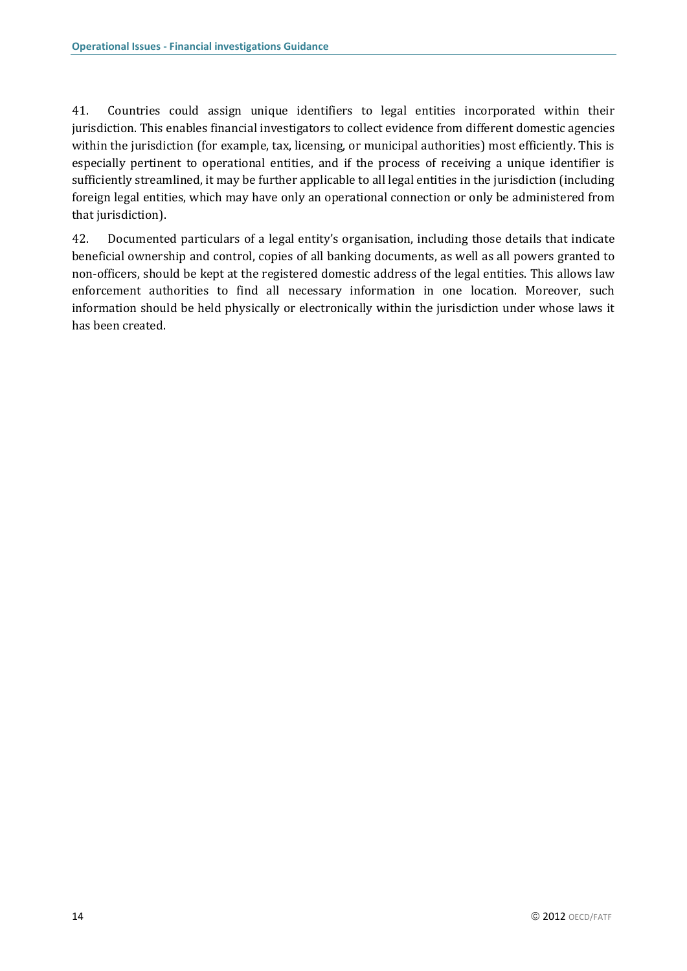41. Countries could assign unique identifiers to legal entities incorporated within their jurisdiction. This enables financial investigators to collect evidence from different domestic agencies within the jurisdiction (for example, tax, licensing, or municipal authorities) most efficiently. This is especially pertinent to operational entities, and if the process of receiving a unique identifier is sufficiently streamlined, it may be further applicable to all legal entities in the jurisdiction (including foreign legal entities, which may have only an operational connection or only be administered from that jurisdiction).

42. Documented particulars of a legal entity's organisation, including those details that indicate beneficial ownership and control, copies of all banking documents, as well as all powers granted to non-officers, should be kept at the registered domestic address of the legal entities. This allows law enforcement authorities to find all necessary information in one location. Moreover, such information should be held physically or electronically within the jurisdiction under whose laws it has been created.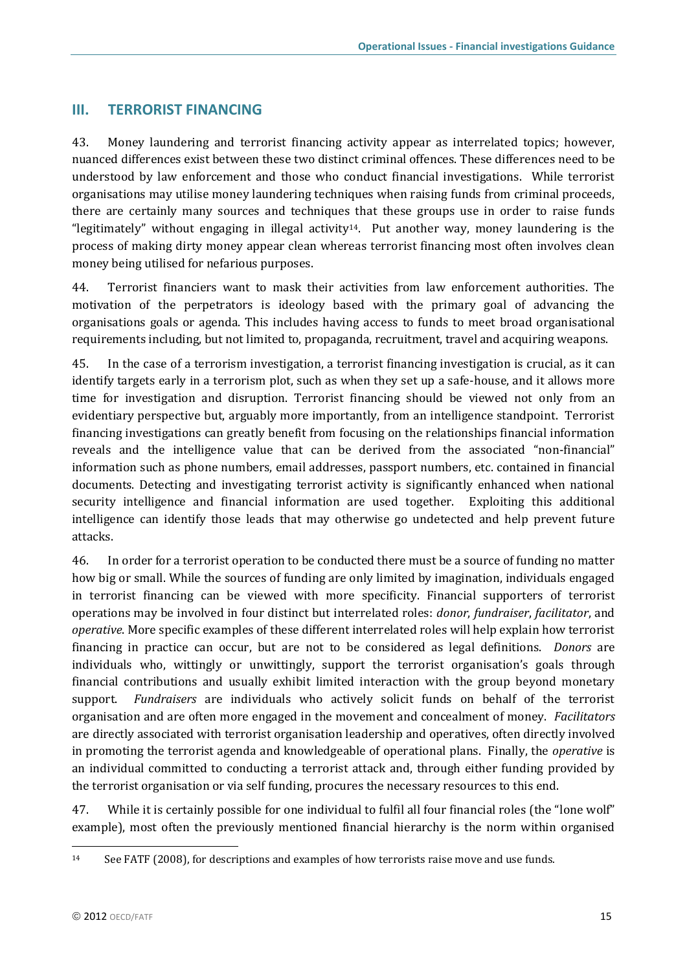## <span id="page-16-0"></span>**III. TERRORIST FINANCING**

43. Money laundering and terrorist financing activity appear as interrelated topics; however, nuanced differences exist between these two distinct criminal offences. These differences need to be understood by law enforcement and those who conduct financial investigations. While terrorist organisations may utilise money laundering techniques when raising funds from criminal proceeds, there are certainly many sources and techniques that these groups use in order to raise funds "legitimately" without engaging in illegal activity<sup>14</sup>. Put another way, money laundering is the process of making dirty money appear clean whereas terrorist financing most often involves clean money being utilised for nefarious purposes.

44. Terrorist financiers want to mask their activities from law enforcement authorities. The motivation of the perpetrators is ideology based with the primary goal of advancing the organisations goals or agenda. This includes having access to funds to meet broad organisational requirements including, but not limited to, propaganda, recruitment, travel and acquiring weapons.

45. In the case of a terrorism investigation, a terrorist financing investigation is crucial, as it can identify targets early in a terrorism plot, such as when they set up a safe-house, and it allows more time for investigation and disruption. Terrorist financing should be viewed not only from an evidentiary perspective but, arguably more importantly, from an intelligence standpoint. Terrorist financing investigations can greatly benefit from focusing on the relationships financial information reveals and the intelligence value that can be derived from the associated "non-financial" information such as phone numbers, email addresses, passport numbers, etc. contained in financial documents. Detecting and investigating terrorist activity is significantly enhanced when national security intelligence and financial information are used together. Exploiting this additional intelligence can identify those leads that may otherwise go undetected and help prevent future attacks.

46. In order for a terrorist operation to be conducted there must be a source of funding no matter how big or small. While the sources of funding are only limited by imagination, individuals engaged in terrorist financing can be viewed with more specificity. Financial supporters of terrorist operations may be involved in four distinct but interrelated roles: *donor*, *fundraiser*, *facilitator*, and *operative*. More specific examples of these different interrelated roles will help explain how terrorist financing in practice can occur, but are not to be considered as legal definitions. *Donors* are individuals who, wittingly or unwittingly, support the terrorist organisation's goals through financial contributions and usually exhibit limited interaction with the group beyond monetary support. *Fundraisers* are individuals who actively solicit funds on behalf of the terrorist organisation and are often more engaged in the movement and concealment of money. *Facilitators* are directly associated with terrorist organisation leadership and operatives, often directly involved in promoting the terrorist agenda and knowledgeable of operational plans. Finally, the *operative* is an individual committed to conducting a terrorist attack and, through either funding provided by the terrorist organisation or via self funding, procures the necessary resources to this end.

47. While it is certainly possible for one individual to fulfil all four financial roles (the "lone wolf" example), most often the previously mentioned financial hierarchy is the norm within organised

<sup>14</sup> See FATF (2008), for descriptions and examples of how terrorists raise move and use funds.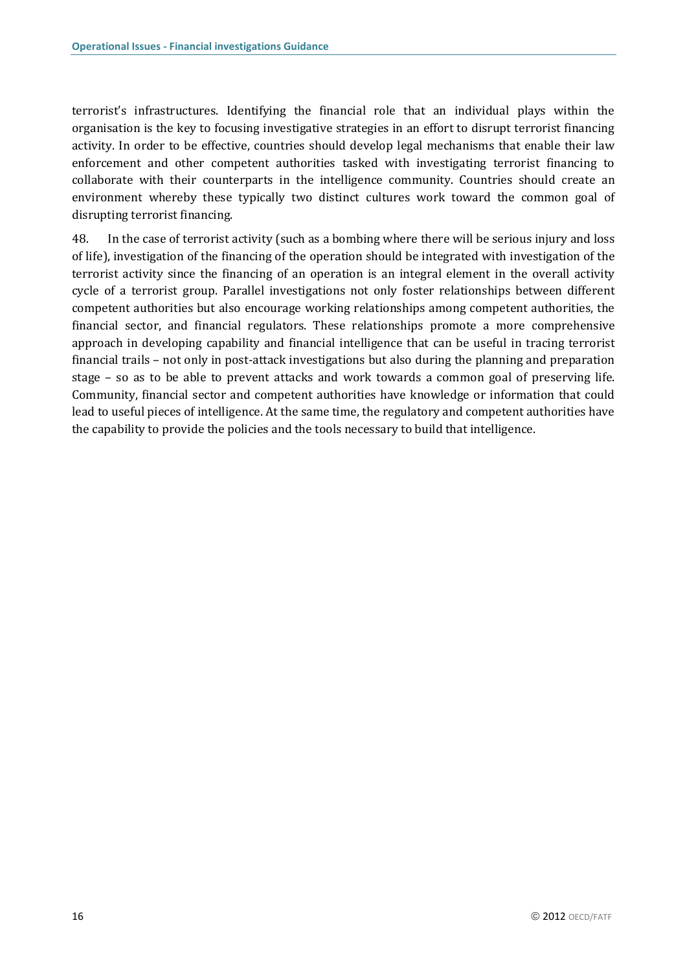terrorist's infrastructures. Identifying the financial role that an individual plays within the organisation is the key to focusing investigative strategies in an effort to disrupt terrorist financing activity. In order to be effective, countries should develop legal mechanisms that enable their law enforcement and other competent authorities tasked with investigating terrorist financing to collaborate with their counterparts in the intelligence community. Countries should create an environment whereby these typically two distinct cultures work toward the common goal of disrupting terrorist financing.

48. In the case of terrorist activity (such as a bombing where there will be serious injury and loss of life), investigation of the financing of the operation should be integrated with investigation of the terrorist activity since the financing of an operation is an integral element in the overall activity cycle of a terrorist group. Parallel investigations not only foster relationships between different competent authorities but also encourage working relationships among competent authorities, the financial sector, and financial regulators. These relationships promote a more comprehensive approach in developing capability and financial intelligence that can be useful in tracing terrorist financial trails – not only in post-attack investigations but also during the planning and preparation stage – so as to be able to prevent attacks and work towards a common goal of preserving life. Community, financial sector and competent authorities have knowledge or information that could lead to useful pieces of intelligence. At the same time, the regulatory and competent authorities have the capability to provide the policies and the tools necessary to build that intelligence.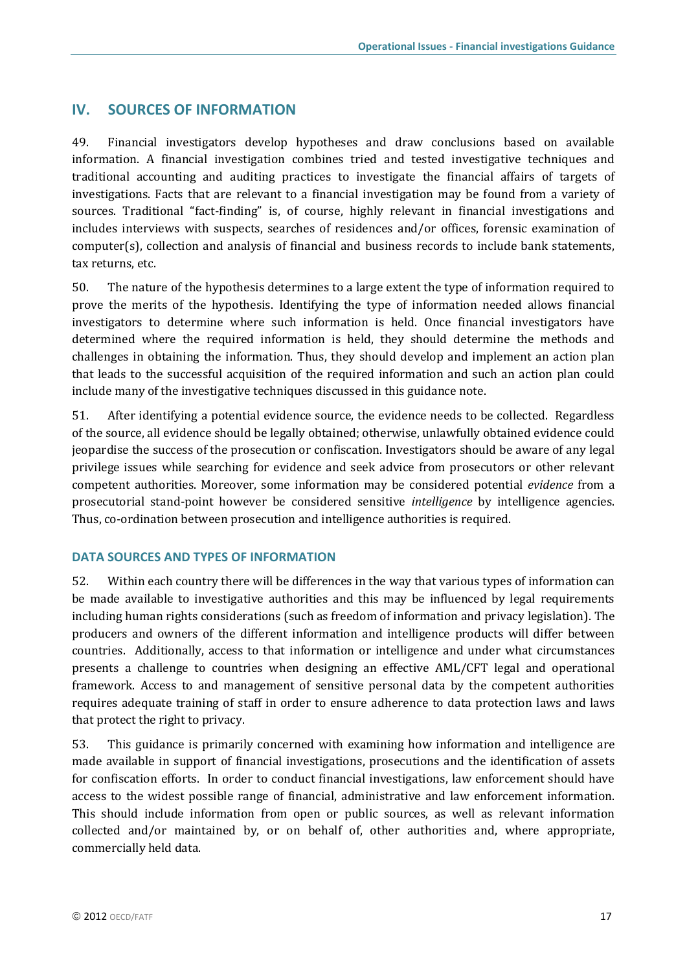## <span id="page-18-0"></span>**IV. SOURCES OF INFORMATION**

49. Financial investigators develop hypotheses and draw conclusions based on available information. A financial investigation combines tried and tested investigative techniques and traditional accounting and auditing practices to investigate the financial affairs of targets of investigations. Facts that are relevant to a financial investigation may be found from a variety of sources. Traditional "fact-finding" is, of course, highly relevant in financial investigations and includes interviews with suspects, searches of residences and/or offices, forensic examination of computer(s), collection and analysis of financial and business records to include bank statements, tax returns, etc.

50. The nature of the hypothesis determines to a large extent the type of information required to prove the merits of the hypothesis. Identifying the type of information needed allows financial investigators to determine where such information is held. Once financial investigators have determined where the required information is held, they should determine the methods and challenges in obtaining the information. Thus, they should develop and implement an action plan that leads to the successful acquisition of the required information and such an action plan could include many of the investigative techniques discussed in this guidance note.

51. After identifying a potential evidence source, the evidence needs to be collected. Regardless of the source, all evidence should be legally obtained; otherwise, unlawfully obtained evidence could jeopardise the success of the prosecution or confiscation. Investigators should be aware of any legal privilege issues while searching for evidence and seek advice from prosecutors or other relevant competent authorities. Moreover, some information may be considered potential *evidence* from a prosecutorial stand-point however be considered sensitive *intelligence* by intelligence agencies. Thus, co-ordination between prosecution and intelligence authorities is required.

### <span id="page-18-1"></span>**DATA SOURCES AND TYPES OF INFORMATION**

52. Within each country there will be differences in the way that various types of information can be made available to investigative authorities and this may be influenced by legal requirements including human rights considerations (such as freedom of information and privacy legislation). The producers and owners of the different information and intelligence products will differ between countries. Additionally, access to that information or intelligence and under what circumstances presents a challenge to countries when designing an effective AML/CFT legal and operational framework. Access to and management of sensitive personal data by the competent authorities requires adequate training of staff in order to ensure adherence to data protection laws and laws that protect the right to privacy.

53. This guidance is primarily concerned with examining how information and intelligence are made available in support of financial investigations, prosecutions and the identification of assets for confiscation efforts. In order to conduct financial investigations, law enforcement should have access to the widest possible range of financial, administrative and law enforcement information. This should include information from open or public sources, as well as relevant information collected and/or maintained by, or on behalf of, other authorities and, where appropriate, commercially held data.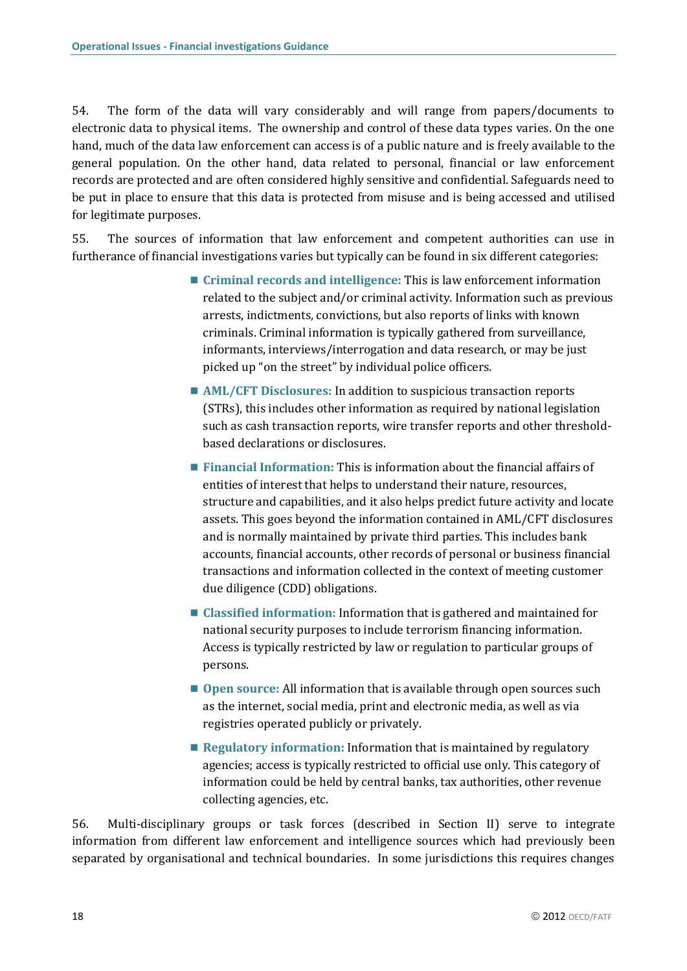54. The form of the data will vary considerably and will range from papers/documents to electronic data to physical items. The ownership and control of these data types varies. On the one hand, much of the data law enforcement can access is of a public nature and is freely available to the general population. On the other hand, data related to personal, financial or law enforcement records are protected and are often considered highly sensitive and confidential. Safeguards need to be put in place to ensure that this data is protected from misuse and is being accessed and utilised for legitimate purposes.

55. The sources of information that law enforcement and competent authorities can use in furtherance of financial investigations varies but typically can be found in six different categories:

- **Criminal records and intelligence:** This is law enforcement information related to the subject and/or criminal activity. Information such as previous arrests, indictments, convictions, but also reports of links with known criminals. Criminal information is typically gathered from surveillance, informants, interviews/interrogation and data research, or may be just picked up "on the street" by individual police officers.
- AML/CFT Disclosures: In addition to suspicious transaction reports (STRs), this includes other information as required by national legislation such as cash transaction reports, wire transfer reports and other thresholdbased declarations or disclosures.
- **Financial Information:** This is information about the financial affairs of entities of interest that helps to understand their nature, resources, structure and capabilities, and it also helps predict future activity and locate assets. This goes beyond the information contained in AML/CFT disclosures and is normally maintained by private third parties. This includes bank accounts, financial accounts, other records of personal or business financial transactions and information collected in the context of meeting customer due diligence (CDD) obligations.
- **Classified information:** Information that is gathered and maintained for national security purposes to include terrorism financing information. Access is typically restricted by law or regulation to particular groups of persons.
- **Open source:** All information that is available through open sources such as the internet, social media, print and electronic media, as well as via registries operated publicly or privately.
- Regulatory information: Information that is maintained by regulatory agencies; access is typically restricted to official use only. This category of information could be held by central banks, tax authorities, other revenue collecting agencies, etc.

56. Multi-disciplinary groups or task forces (described in Section II) serve to integrate information from different law enforcement and intelligence sources which had previously been separated by organisational and technical boundaries. In some jurisdictions this requires changes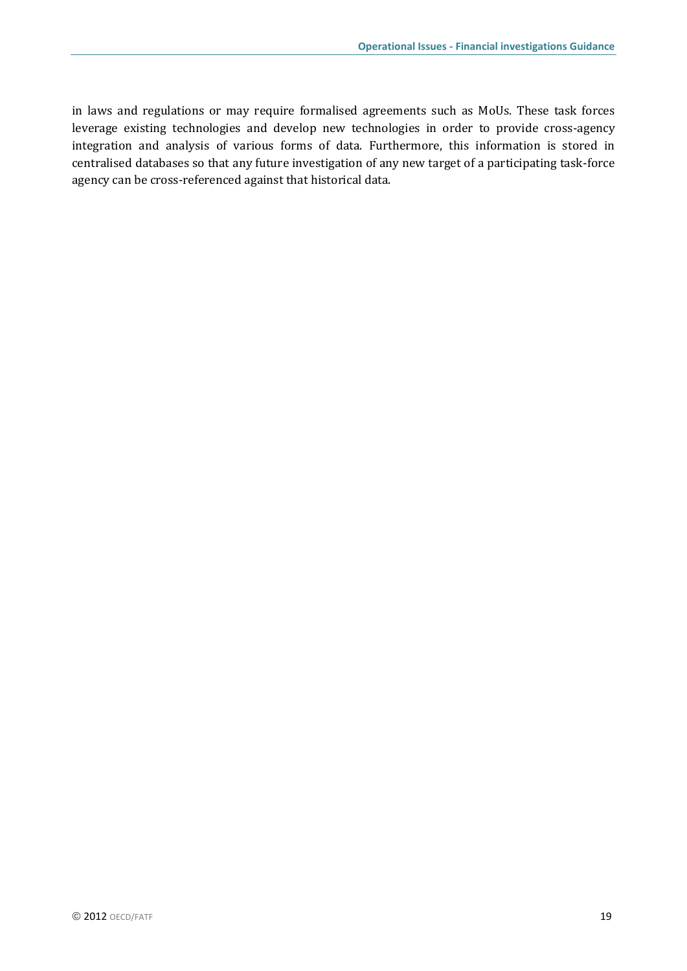in laws and regulations or may require formalised agreements such as MoUs. These task forces leverage existing technologies and develop new technologies in order to provide cross-agency integration and analysis of various forms of data. Furthermore, this information is stored in centralised databases so that any future investigation of any new target of a participating task-force agency can be cross-referenced against that historical data.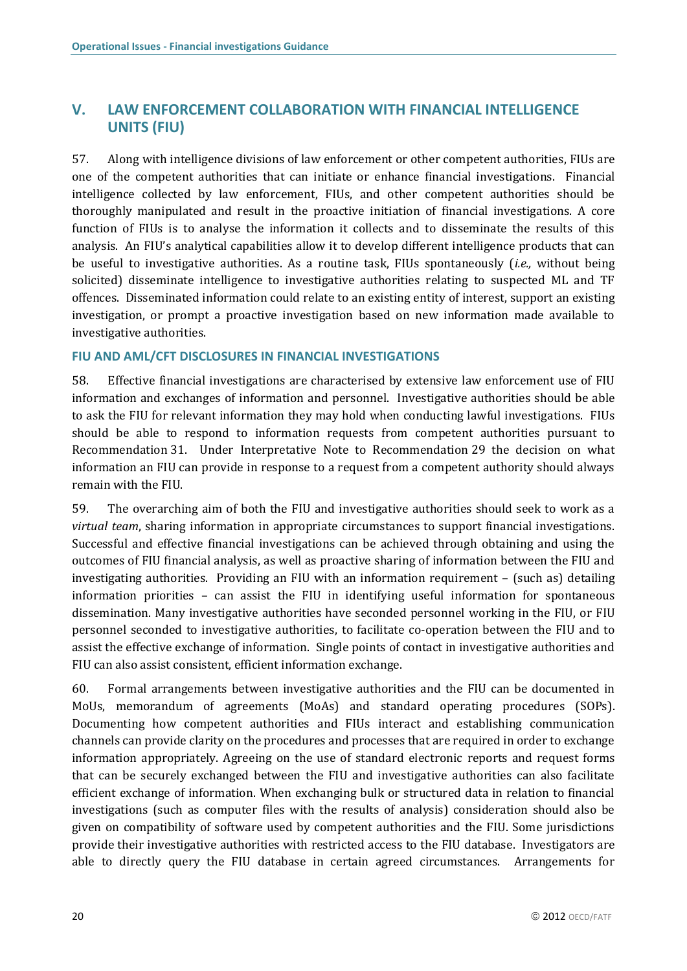## <span id="page-21-0"></span>**V. LAW ENFORCEMENT COLLABORATION WITH FINANCIAL INTELLIGENCE UNITS (FIU)**

57. Along with intelligence divisions of law enforcement or other competent authorities, FIUs are one of the competent authorities that can initiate or enhance financial investigations. Financial intelligence collected by law enforcement, FIUs, and other competent authorities should be thoroughly manipulated and result in the proactive initiation of financial investigations. A core function of FIUs is to analyse the information it collects and to disseminate the results of this analysis. An FIU's analytical capabilities allow it to develop different intelligence products that can be useful to investigative authorities. As a routine task, FIUs spontaneously (*i.e.,* without being solicited) disseminate intelligence to investigative authorities relating to suspected ML and TF offences. Disseminated information could relate to an existing entity of interest, support an existing investigation, or prompt a proactive investigation based on new information made available to investigative authorities.

### <span id="page-21-1"></span>**FIU AND AML/CFT DISCLOSURES IN FINANCIAL INVESTIGATIONS**

58. Effective financial investigations are characterised by extensive law enforcement use of FIU information and exchanges of information and personnel. Investigative authorities should be able to ask the FIU for relevant information they may hold when conducting lawful investigations. FIUs should be able to respond to information requests from competent authorities pursuant to Recommendation 31. Under Interpretative Note to Recommendation 29 the decision on what information an FIU can provide in response to a request from a competent authority should always remain with the FIU.

59. The overarching aim of both the FIU and investigative authorities should seek to work as a *virtual team*, sharing information in appropriate circumstances to support financial investigations. Successful and effective financial investigations can be achieved through obtaining and using the outcomes of FIU financial analysis, as well as proactive sharing of information between the FIU and investigating authorities. Providing an FIU with an information requirement – (such as) detailing information priorities – can assist the FIU in identifying useful information for spontaneous dissemination. Many investigative authorities have seconded personnel working in the FIU, or FIU personnel seconded to investigative authorities, to facilitate co-operation between the FIU and to assist the effective exchange of information. Single points of contact in investigative authorities and FIU can also assist consistent, efficient information exchange.

60. Formal arrangements between investigative authorities and the FIU can be documented in MoUs, memorandum of agreements (MoAs) and standard operating procedures (SOPs). Documenting how competent authorities and FIUs interact and establishing communication channels can provide clarity on the procedures and processes that are required in order to exchange information appropriately. Agreeing on the use of standard electronic reports and request forms that can be securely exchanged between the FIU and investigative authorities can also facilitate efficient exchange of information. When exchanging bulk or structured data in relation to financial investigations (such as computer files with the results of analysis) consideration should also be given on compatibility of software used by competent authorities and the FIU. Some jurisdictions provide their investigative authorities with restricted access to the FIU database. Investigators are able to directly query the FIU database in certain agreed circumstances. Arrangements for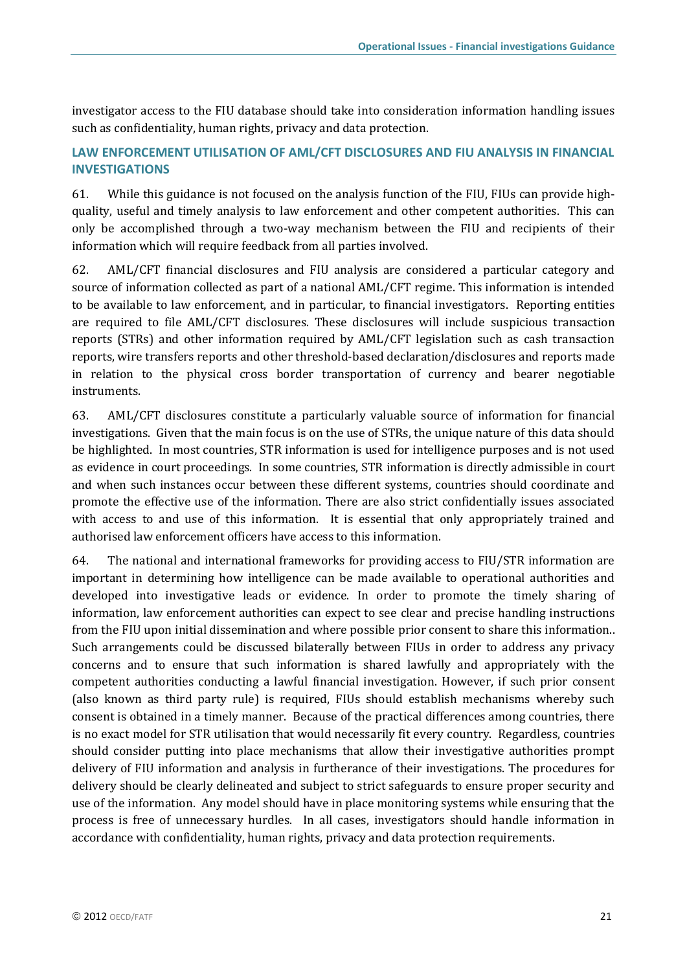investigator access to the FIU database should take into consideration information handling issues such as confidentiality, human rights, privacy and data protection.

### <span id="page-22-0"></span>**LAW ENFORCEMENT UTILISATION OF AML/CFT DISCLOSURES AND FIU ANALYSIS IN FINANCIAL INVESTIGATIONS**

61. While this guidance is not focused on the analysis function of the FIU, FIUs can provide highquality, useful and timely analysis to law enforcement and other competent authorities. This can only be accomplished through a two-way mechanism between the FIU and recipients of their information which will require feedback from all parties involved.

62. AML/CFT financial disclosures and FIU analysis are considered a particular category and source of information collected as part of a national AML/CFT regime. This information is intended to be available to law enforcement, and in particular, to financial investigators. Reporting entities are required to file AML/CFT disclosures. These disclosures will include suspicious transaction reports (STRs) and other information required by AML/CFT legislation such as cash transaction reports, wire transfers reports and other threshold-based declaration/disclosures and reports made in relation to the physical cross border transportation of currency and bearer negotiable instruments.

63. AML/CFT disclosures constitute a particularly valuable source of information for financial investigations. Given that the main focus is on the use of STRs, the unique nature of this data should be highlighted. In most countries, STR information is used for intelligence purposes and is not used as evidence in court proceedings. In some countries, STR information is directly admissible in court and when such instances occur between these different systems, countries should coordinate and promote the effective use of the information. There are also strict confidentially issues associated with access to and use of this information. It is essential that only appropriately trained and authorised law enforcement officers have access to this information.

64. The national and international frameworks for providing access to FIU/STR information are important in determining how intelligence can be made available to operational authorities and developed into investigative leads or evidence. In order to promote the timely sharing of information, law enforcement authorities can expect to see clear and precise handling instructions from the FIU upon initial dissemination and where possible prior consent to share this information.. Such arrangements could be discussed bilaterally between FIUs in order to address any privacy concerns and to ensure that such information is shared lawfully and appropriately with the competent authorities conducting a lawful financial investigation. However, if such prior consent (also known as third party rule) is required, FIUs should establish mechanisms whereby such consent is obtained in a timely manner. Because of the practical differences among countries, there is no exact model for STR utilisation that would necessarily fit every country. Regardless, countries should consider putting into place mechanisms that allow their investigative authorities prompt delivery of FIU information and analysis in furtherance of their investigations. The procedures for delivery should be clearly delineated and subject to strict safeguards to ensure proper security and use of the information. Any model should have in place monitoring systems while ensuring that the process is free of unnecessary hurdles. In all cases, investigators should handle information in accordance with confidentiality, human rights, privacy and data protection requirements.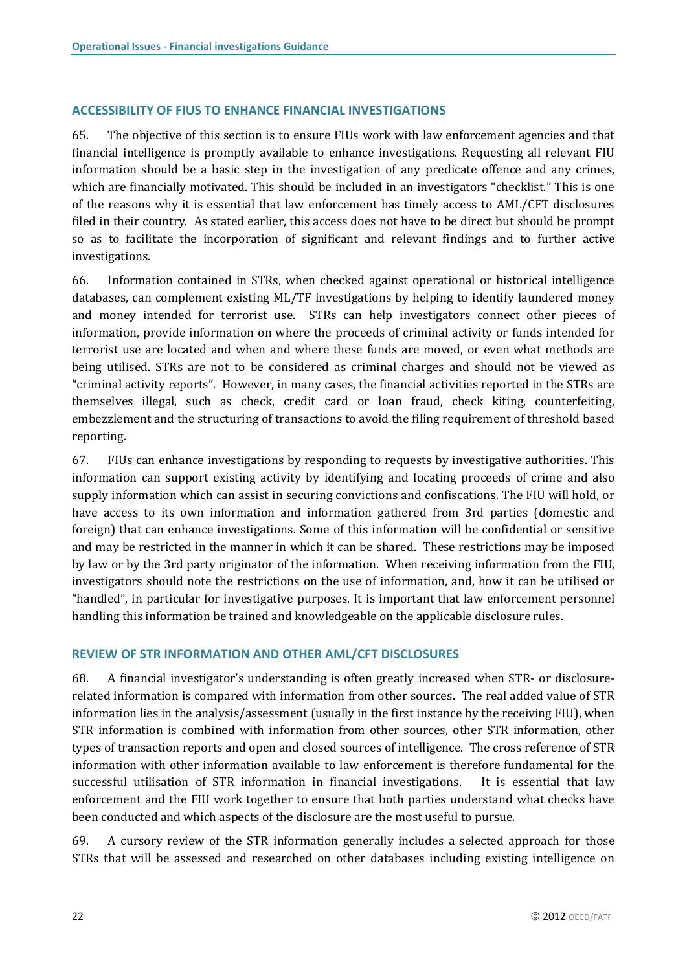### <span id="page-23-0"></span>**ACCESSIBILITY OF FIUS TO ENHANCE FINANCIAL INVESTIGATIONS**

65. The objective of this section is to ensure FIUs work with law enforcement agencies and that financial intelligence is promptly available to enhance investigations. Requesting all relevant FIU information should be a basic step in the investigation of any predicate offence and any crimes, which are financially motivated. This should be included in an investigators "checklist." This is one of the reasons why it is essential that law enforcement has timely access to AML/CFT disclosures filed in their country. As stated earlier, this access does not have to be direct but should be prompt so as to facilitate the incorporation of significant and relevant findings and to further active investigations.

66. Information contained in STRs, when checked against operational or historical intelligence databases, can complement existing ML/TF investigations by helping to identify laundered money and money intended for terrorist use. STRs can help investigators connect other pieces of information, provide information on where the proceeds of criminal activity or funds intended for terrorist use are located and when and where these funds are moved, or even what methods are being utilised. STRs are not to be considered as criminal charges and should not be viewed as "criminal activity reports". However, in many cases, the financial activities reported in the STRs are themselves illegal, such as check, credit card or loan fraud, check kiting, counterfeiting, embezzlement and the structuring of transactions to avoid the filing requirement of threshold based reporting.

67. FIUs can enhance investigations by responding to requests by investigative authorities. This information can support existing activity by identifying and locating proceeds of crime and also supply information which can assist in securing convictions and confiscations. The FIU will hold, or have access to its own information and information gathered from 3rd parties (domestic and foreign) that can enhance investigations. Some of this information will be confidential or sensitive and may be restricted in the manner in which it can be shared. These restrictions may be imposed by law or by the 3rd party originator of the information. When receiving information from the FIU, investigators should note the restrictions on the use of information, and, how it can be utilised or "handled", in particular for investigative purposes. It is important that law enforcement personnel handling this information be trained and knowledgeable on the applicable disclosure rules.

### <span id="page-23-1"></span>**REVIEW OF STR INFORMATION AND OTHER AML/CFT DISCLOSURES**

68. A financial investigator's understanding is often greatly increased when STR- or disclosurerelated information is compared with information from other sources. The real added value of STR information lies in the analysis/assessment (usually in the first instance by the receiving FIU), when STR information is combined with information from other sources, other STR information, other types of transaction reports and open and closed sources of intelligence. The cross reference of STR information with other information available to law enforcement is therefore fundamental for the successful utilisation of STR information in financial investigations. It is essential that law enforcement and the FIU work together to ensure that both parties understand what checks have been conducted and which aspects of the disclosure are the most useful to pursue.

69. A cursory review of the STR information generally includes a selected approach for those STRs that will be assessed and researched on other databases including existing intelligence on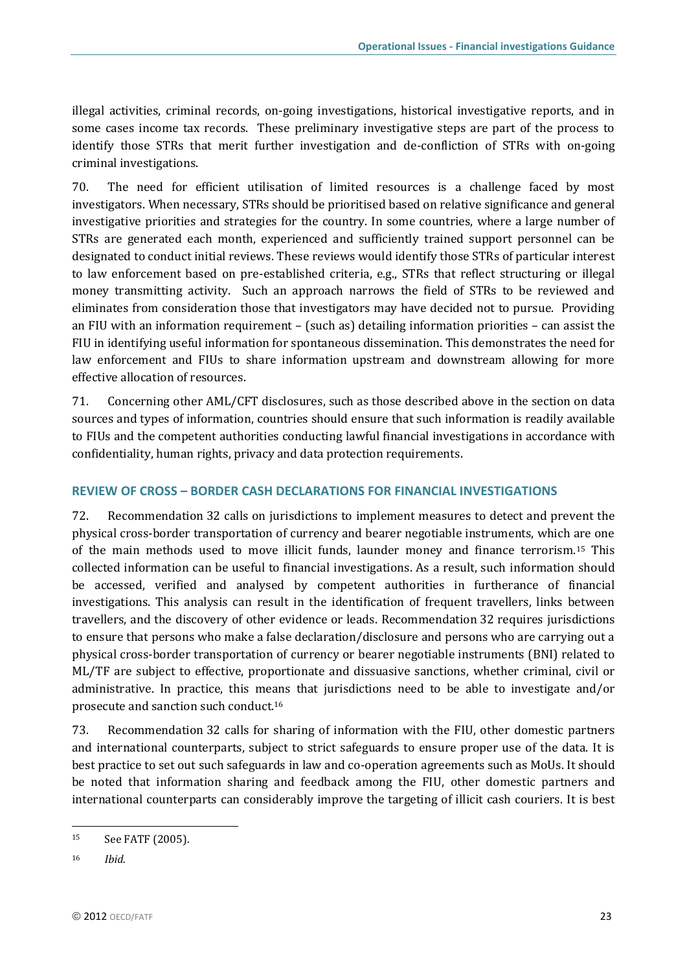illegal activities, criminal records, on-going investigations, historical investigative reports, and in some cases income tax records. These preliminary investigative steps are part of the process to identify those STRs that merit further investigation and de-confliction of STRs with on-going criminal investigations.

70. The need for efficient utilisation of limited resources is a challenge faced by most investigators. When necessary, STRs should be prioritised based on relative significance and general investigative priorities and strategies for the country. In some countries, where a large number of STRs are generated each month, experienced and sufficiently trained support personnel can be designated to conduct initial reviews. These reviews would identify those STRs of particular interest to law enforcement based on pre-established criteria, e.g., STRs that reflect structuring or illegal money transmitting activity. Such an approach narrows the field of STRs to be reviewed and eliminates from consideration those that investigators may have decided not to pursue. Providing an FIU with an information requirement – (such as) detailing information priorities – can assist the FIU in identifying useful information for spontaneous dissemination. This demonstrates the need for law enforcement and FIUs to share information upstream and downstream allowing for more effective allocation of resources.

71. Concerning other AML/CFT disclosures, such as those described above in the section on data sources and types of information, countries should ensure that such information is readily available to FIUs and the competent authorities conducting lawful financial investigations in accordance with confidentiality, human rights, privacy and data protection requirements.

### <span id="page-24-0"></span>**REVIEW OF CROSS – BORDER CASH DECLARATIONS FOR FINANCIAL INVESTIGATIONS**

72. Recommendation 32 calls on jurisdictions to implement measures to detect and prevent the physical cross-border transportation of currency and bearer negotiable instruments, which are one of the main methods used to move illicit funds, launder money and finance terrorism.<sup>15</sup> This collected information can be useful to financial investigations. As a result, such information should be accessed, verified and analysed by competent authorities in furtherance of financial investigations. This analysis can result in the identification of frequent travellers, links between travellers, and the discovery of other evidence or leads. Recommendation 32 requires jurisdictions to ensure that persons who make a false declaration/disclosure and persons who are carrying out a physical cross-border transportation of currency or bearer negotiable instruments (BNI) related to ML/TF are subject to effective, proportionate and dissuasive sanctions, whether criminal, civil or administrative. In practice, this means that jurisdictions need to be able to investigate and/or prosecute and sanction such conduct.<sup>16</sup>

73. Recommendation 32 calls for sharing of information with the FIU, other domestic partners and international counterparts, subject to strict safeguards to ensure proper use of the data. It is best practice to set out such safeguards in law and co-operation agreements such as MoUs. It should be noted that information sharing and feedback among the FIU, other domestic partners and international counterparts can considerably improve the targeting of illicit cash couriers. It is best

 $\overline{\phantom{a}}$ 

<sup>15</sup> See FATF (2005).

<sup>16</sup> *Ibid.*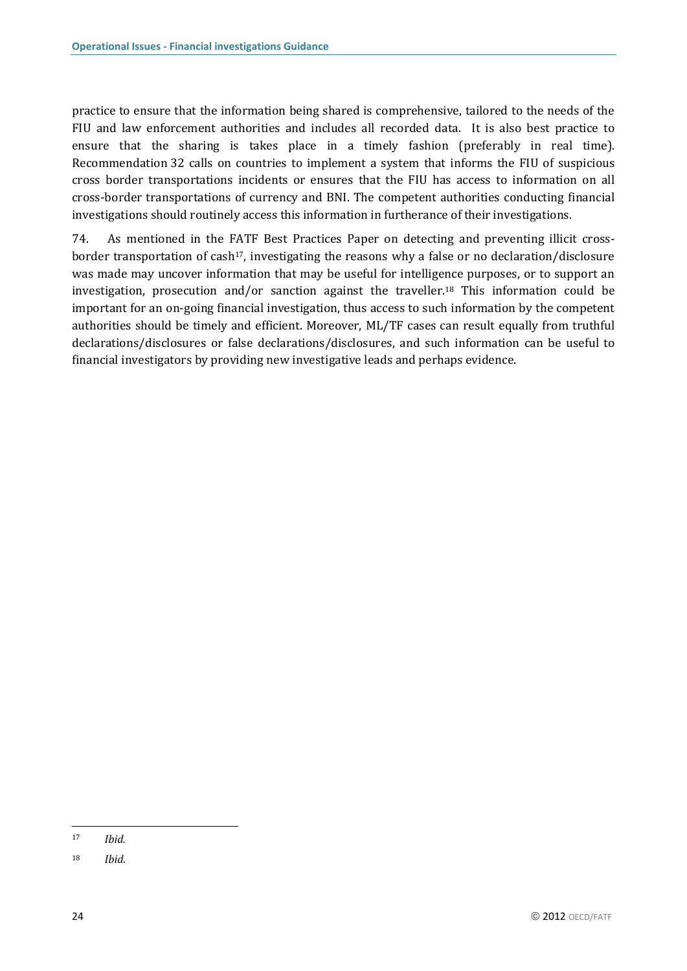practice to ensure that the information being shared is comprehensive, tailored to the needs of the FIU and law enforcement authorities and includes all recorded data. It is also best practice to ensure that the sharing is takes place in a timely fashion (preferably in real time). Recommendation 32 calls on countries to implement a system that informs the FIU of suspicious cross border transportations incidents or ensures that the FIU has access to information on all cross-border transportations of currency and BNI. The competent authorities conducting financial investigations should routinely access this information in furtherance of their investigations.

74. As mentioned in the FATF Best Practices Paper on detecting and preventing illicit crossborder transportation of cash<sup>17</sup>, investigating the reasons why a false or no declaration/disclosure was made may uncover information that may be useful for intelligence purposes, or to support an investigation, prosecution and/or sanction against the traveller.<sup>18</sup> This information could be important for an on-going financial investigation, thus access to such information by the competent authorities should be timely and efficient. Moreover, ML/TF cases can result equally from truthful declarations/disclosures or false declarations/disclosures, and such information can be useful to financial investigators by providing new investigative leads and perhaps evidence.

 $\overline{\phantom{a}}$ 

<sup>17</sup> *Ibid.*

<sup>18</sup> *Ibid*.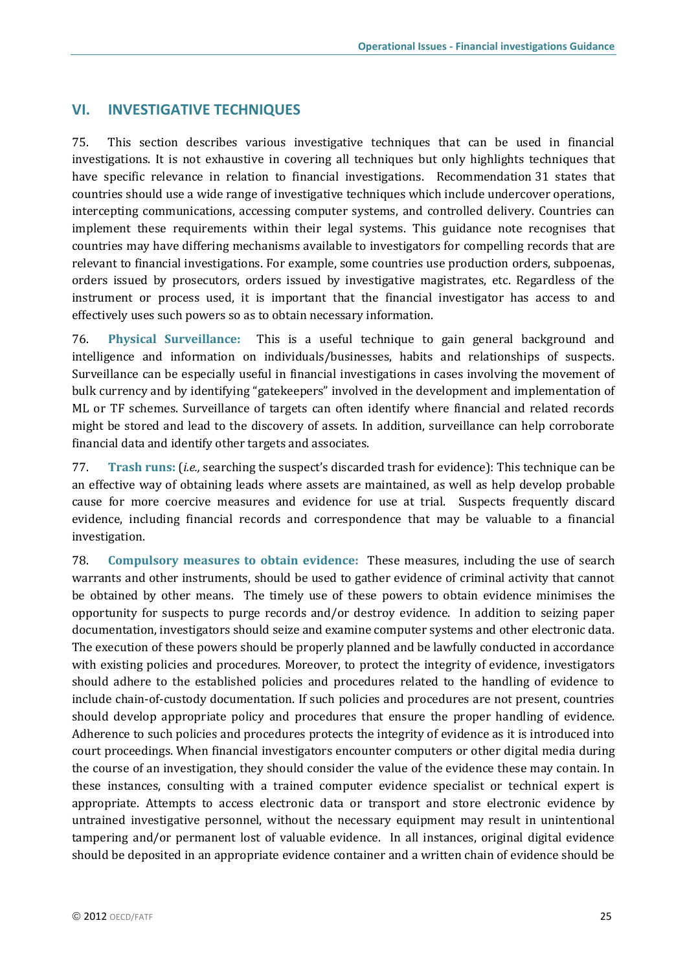### <span id="page-26-0"></span>**VI. INVESTIGATIVE TECHNIQUES**

75. This section describes various investigative techniques that can be used in financial investigations. It is not exhaustive in covering all techniques but only highlights techniques that have specific relevance in relation to financial investigations. Recommendation 31 states that countries should use a wide range of investigative techniques which include undercover operations, intercepting communications, accessing computer systems, and controlled delivery. Countries can implement these requirements within their legal systems. This guidance note recognises that countries may have differing mechanisms available to investigators for compelling records that are relevant to financial investigations. For example, some countries use production orders, subpoenas, orders issued by prosecutors, orders issued by investigative magistrates, etc. Regardless of the instrument or process used, it is important that the financial investigator has access to and effectively uses such powers so as to obtain necessary information.

76. **Physical Surveillance:** This is a useful technique to gain general background and intelligence and information on individuals/businesses, habits and relationships of suspects. Surveillance can be especially useful in financial investigations in cases involving the movement of bulk currency and by identifying "gatekeepers" involved in the development and implementation of ML or TF schemes. Surveillance of targets can often identify where financial and related records might be stored and lead to the discovery of assets. In addition, surveillance can help corroborate financial data and identify other targets and associates.

77. **Trash runs:** (*i.e.,* searching the suspect's discarded trash for evidence): This technique can be an effective way of obtaining leads where assets are maintained, as well as help develop probable cause for more coercive measures and evidence for use at trial. Suspects frequently discard evidence, including financial records and correspondence that may be valuable to a financial investigation.

78. **Compulsory measures to obtain evidence:** These measures, including the use of search warrants and other instruments, should be used to gather evidence of criminal activity that cannot be obtained by other means. The timely use of these powers to obtain evidence minimises the opportunity for suspects to purge records and/or destroy evidence. In addition to seizing paper documentation, investigators should seize and examine computer systems and other electronic data. The execution of these powers should be properly planned and be lawfully conducted in accordance with existing policies and procedures. Moreover, to protect the integrity of evidence, investigators should adhere to the established policies and procedures related to the handling of evidence to include chain-of-custody documentation. If such policies and procedures are not present, countries should develop appropriate policy and procedures that ensure the proper handling of evidence. Adherence to such policies and procedures protects the integrity of evidence as it is introduced into court proceedings. When financial investigators encounter computers or other digital media during the course of an investigation, they should consider the value of the evidence these may contain. In these instances, consulting with a trained computer evidence specialist or technical expert is appropriate. Attempts to access electronic data or transport and store electronic evidence by untrained investigative personnel, without the necessary equipment may result in unintentional tampering and/or permanent lost of valuable evidence. In all instances, original digital evidence should be deposited in an appropriate evidence container and a written chain of evidence should be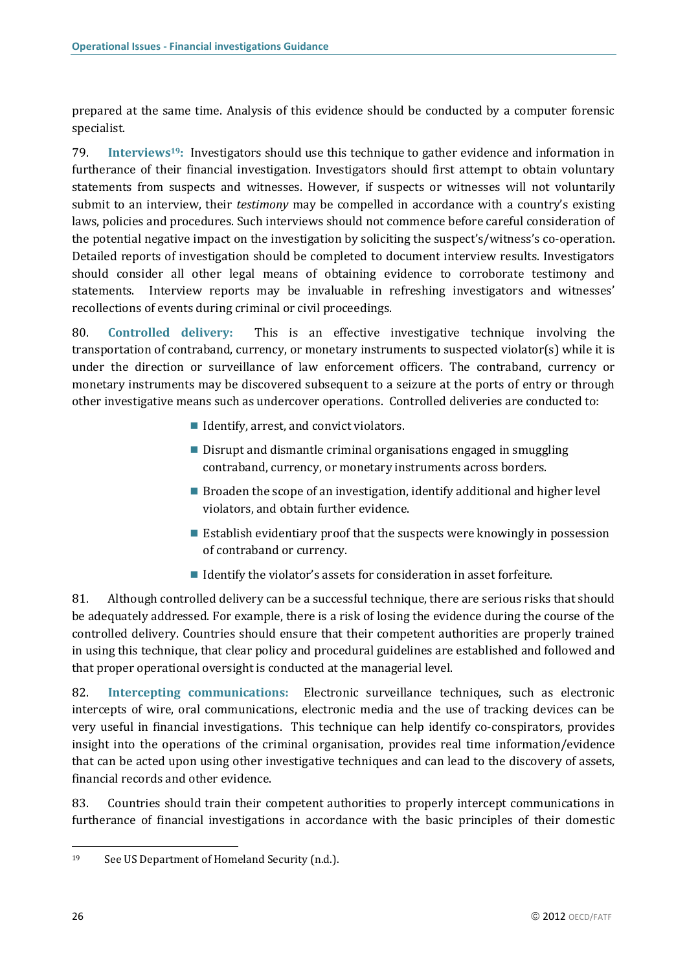prepared at the same time. Analysis of this evidence should be conducted by a computer forensic specialist.

79. **Interviews19:** Investigators should use this technique to gather evidence and information in furtherance of their financial investigation. Investigators should first attempt to obtain voluntary statements from suspects and witnesses. However, if suspects or witnesses will not voluntarily submit to an interview, their *testimony* may be compelled in accordance with a country's existing laws, policies and procedures. Such interviews should not commence before careful consideration of the potential negative impact on the investigation by soliciting the suspect's/witness's co-operation. Detailed reports of investigation should be completed to document interview results. Investigators should consider all other legal means of obtaining evidence to corroborate testimony and statements. Interview reports may be invaluable in refreshing investigators and witnesses' recollections of events during criminal or civil proceedings.

80. **Controlled delivery:** This is an effective investigative technique involving the transportation of contraband, currency, or monetary instruments to suspected violator(s) while it is under the direction or surveillance of law enforcement officers. The contraband, currency or monetary instruments may be discovered subsequent to a seizure at the ports of entry or through other investigative means such as undercover operations. Controlled deliveries are conducted to:

- Identify, arrest, and convict violators.
- Disrupt and dismantle criminal organisations engaged in smuggling contraband, currency, or monetary instruments across borders.
- **Broaden the scope of an investigation, identify additional and higher level** violators, and obtain further evidence.
- **Example 1** Establish evidentiary proof that the suspects were knowingly in possession of contraband or currency.
- Identify the violator's assets for consideration in asset forfeiture.

81. Although controlled delivery can be a successful technique, there are serious risks that should be adequately addressed. For example, there is a risk of losing the evidence during the course of the controlled delivery. Countries should ensure that their competent authorities are properly trained in using this technique, that clear policy and procedural guidelines are established and followed and that proper operational oversight is conducted at the managerial level.

82. **Intercepting communications:** Electronic surveillance techniques, such as electronic intercepts of wire, oral communications, electronic media and the use of tracking devices can be very useful in financial investigations. This technique can help identify co-conspirators, provides insight into the operations of the criminal organisation, provides real time information/evidence that can be acted upon using other investigative techniques and can lead to the discovery of assets, financial records and other evidence.

83. Countries should train their competent authorities to properly intercept communications in furtherance of financial investigations in accordance with the basic principles of their domestic

<sup>19</sup> See US Department of Homeland Security (n.d.).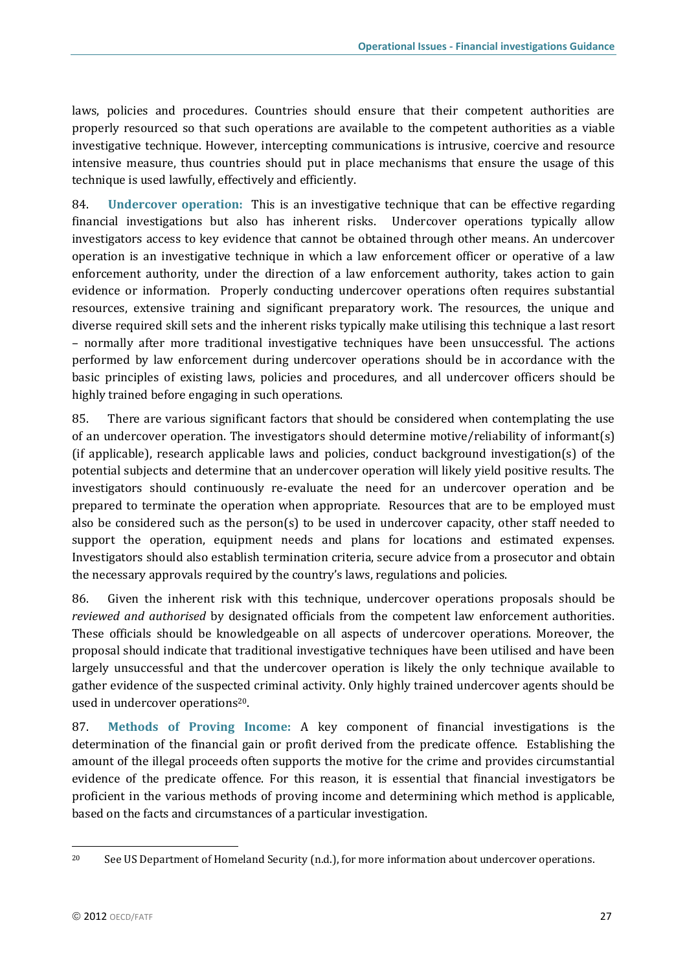laws, policies and procedures. Countries should ensure that their competent authorities are properly resourced so that such operations are available to the competent authorities as a viable investigative technique. However, intercepting communications is intrusive, coercive and resource intensive measure, thus countries should put in place mechanisms that ensure the usage of this technique is used lawfully, effectively and efficiently.

84. **Undercover operation:**This is an investigative technique that can be effective regarding financial investigations but also has inherent risks. Undercover operations typically allow investigators access to key evidence that cannot be obtained through other means. An undercover operation is an investigative technique in which a law enforcement officer or operative of a law enforcement authority, under the direction of a law enforcement authority, takes action to gain evidence or information. Properly conducting undercover operations often requires substantial resources, extensive training and significant preparatory work. The resources, the unique and diverse required skill sets and the inherent risks typically make utilising this technique a last resort – normally after more traditional investigative techniques have been unsuccessful. The actions performed by law enforcement during undercover operations should be in accordance with the basic principles of existing laws, policies and procedures, and all undercover officers should be highly trained before engaging in such operations.

85. There are various significant factors that should be considered when contemplating the use of an undercover operation. The investigators should determine motive/reliability of informant(s) (if applicable), research applicable laws and policies, conduct background investigation(s) of the potential subjects and determine that an undercover operation will likely yield positive results. The investigators should continuously re-evaluate the need for an undercover operation and be prepared to terminate the operation when appropriate. Resources that are to be employed must also be considered such as the person(s) to be used in undercover capacity, other staff needed to support the operation, equipment needs and plans for locations and estimated expenses. Investigators should also establish termination criteria, secure advice from a prosecutor and obtain the necessary approvals required by the country's laws, regulations and policies.

86. Given the inherent risk with this technique, undercover operations proposals should be *reviewed and authorised* by designated officials from the competent law enforcement authorities. These officials should be knowledgeable on all aspects of undercover operations. Moreover, the proposal should indicate that traditional investigative techniques have been utilised and have been largely unsuccessful and that the undercover operation is likely the only technique available to gather evidence of the suspected criminal activity. Only highly trained undercover agents should be used in undercover operations<sup>20</sup>.

87. **Methods of Proving Income:** A key component of financial investigations is the determination of the financial gain or profit derived from the predicate offence. Establishing the amount of the illegal proceeds often supports the motive for the crime and provides circumstantial evidence of the predicate offence. For this reason, it is essential that financial investigators be proficient in the various methods of proving income and determining which method is applicable, based on the facts and circumstances of a particular investigation.

<sup>&</sup>lt;sup>20</sup> See US Department of Homeland Security (n.d.), for more information about undercover operations.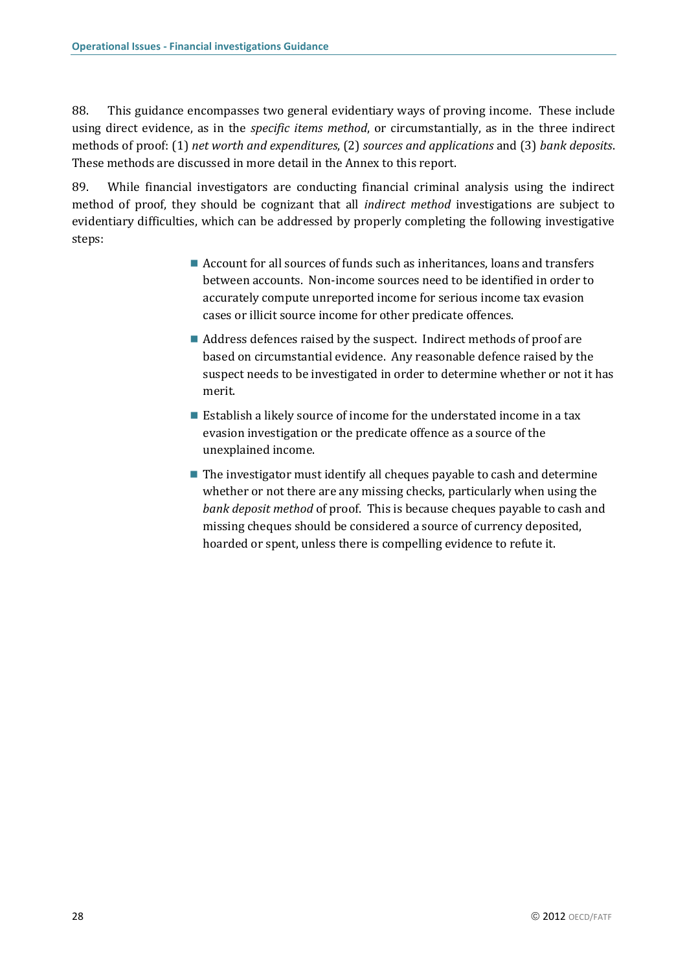88. This guidance encompasses two general evidentiary ways of proving income. These include using direct evidence, as in the *specific items method*, or circumstantially, as in the three indirect methods of proof: (1) *net worth and expenditures*, (2) *sources and applications* and (3) *bank deposits*. These methods are discussed in more detail in the Annex to this report.

89. While financial investigators are conducting financial criminal analysis using the indirect method of proof, they should be cognizant that all *indirect method* investigations are subject to evidentiary difficulties, which can be addressed by properly completing the following investigative steps:

- Account for all sources of funds such as inheritances, loans and transfers between accounts. Non-income sources need to be identified in order to accurately compute unreported income for serious income tax evasion cases or illicit source income for other predicate offences.
- Address defences raised by the suspect. Indirect methods of proof are based on circumstantial evidence. Any reasonable defence raised by the suspect needs to be investigated in order to determine whether or not it has merit.
- Establish a likely source of income for the understated income in a tax evasion investigation or the predicate offence as a source of the unexplained income.
- The investigator must identify all cheques payable to cash and determine whether or not there are any missing checks, particularly when using the *bank deposit method* of proof. This is because cheques payable to cash and missing cheques should be considered a source of currency deposited, hoarded or spent, unless there is compelling evidence to refute it.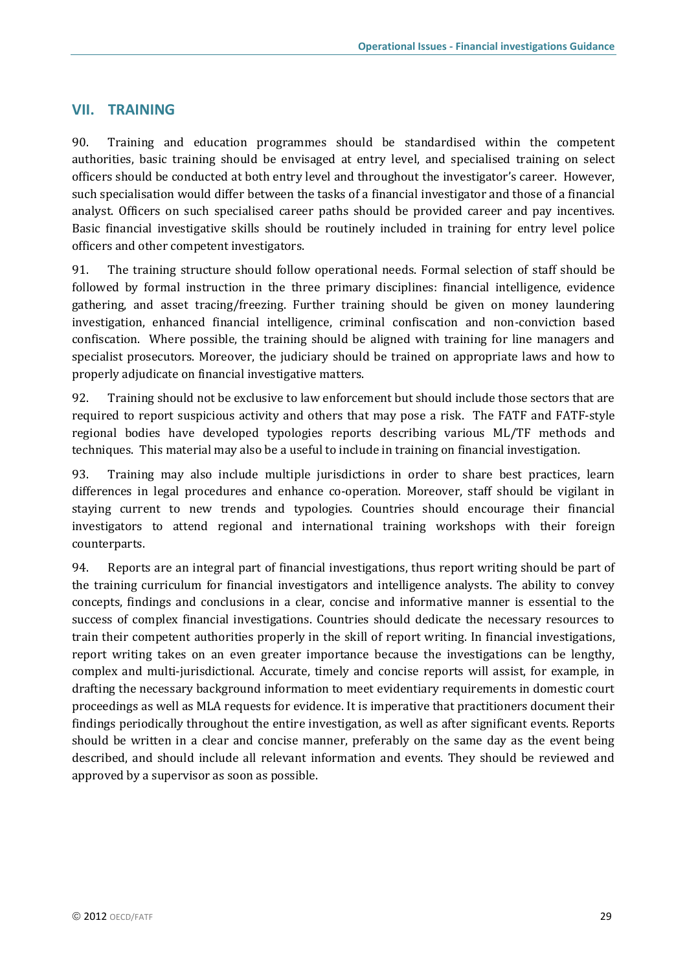### <span id="page-30-0"></span>**VII. TRAINING**

90. Training and education programmes should be standardised within the competent authorities, basic training should be envisaged at entry level, and specialised training on select officers should be conducted at both entry level and throughout the investigator's career. However, such specialisation would differ between the tasks of a financial investigator and those of a financial analyst. Officers on such specialised career paths should be provided career and pay incentives. Basic financial investigative skills should be routinely included in training for entry level police officers and other competent investigators.

91. The training structure should follow operational needs. Formal selection of staff should be followed by formal instruction in the three primary disciplines: financial intelligence, evidence gathering, and asset tracing/freezing. Further training should be given on money laundering investigation, enhanced financial intelligence, criminal confiscation and non-conviction based confiscation. Where possible, the training should be aligned with training for line managers and specialist prosecutors. Moreover, the judiciary should be trained on appropriate laws and how to properly adjudicate on financial investigative matters.

92. Training should not be exclusive to law enforcement but should include those sectors that are required to report suspicious activity and others that may pose a risk. The FATF and FATF-style regional bodies have developed typologies reports describing various ML/TF methods and techniques. This material may also be a useful to include in training on financial investigation.

93. Training may also include multiple jurisdictions in order to share best practices, learn differences in legal procedures and enhance co-operation. Moreover, staff should be vigilant in staying current to new trends and typologies. Countries should encourage their financial investigators to attend regional and international training workshops with their foreign counterparts.

94. Reports are an integral part of financial investigations, thus report writing should be part of the training curriculum for financial investigators and intelligence analysts. The ability to convey concepts, findings and conclusions in a clear, concise and informative manner is essential to the success of complex financial investigations. Countries should dedicate the necessary resources to train their competent authorities properly in the skill of report writing. In financial investigations, report writing takes on an even greater importance because the investigations can be lengthy, complex and multi-jurisdictional. Accurate, timely and concise reports will assist, for example, in drafting the necessary background information to meet evidentiary requirements in domestic court proceedings as well as MLA requests for evidence. It is imperative that practitioners document their findings periodically throughout the entire investigation, as well as after significant events. Reports should be written in a clear and concise manner, preferably on the same day as the event being described, and should include all relevant information and events. They should be reviewed and approved by a supervisor as soon as possible.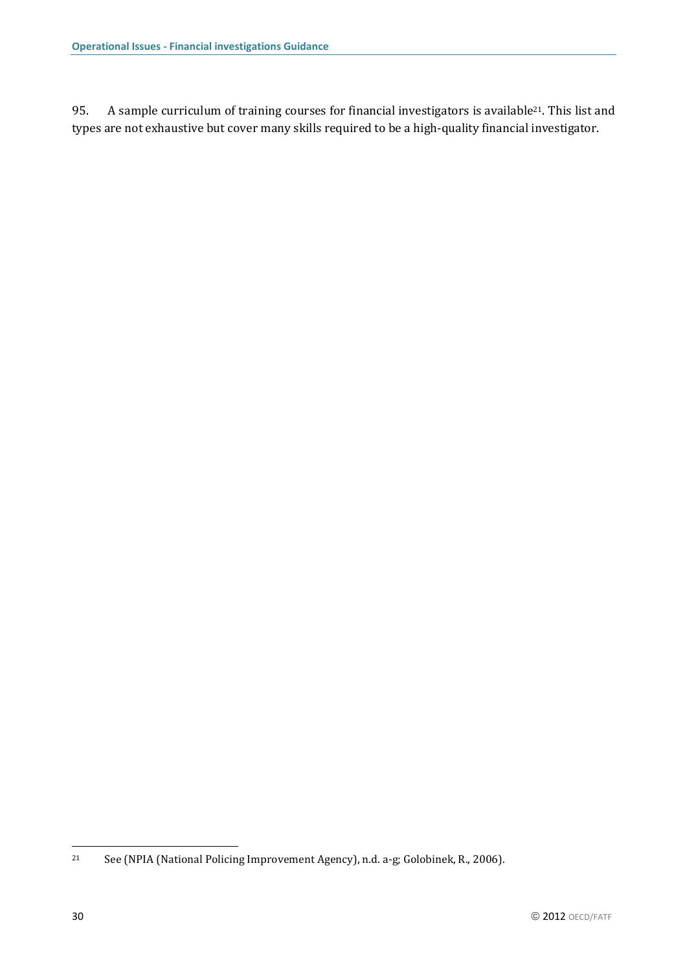95. A sample curriculum of training courses for financial investigators is available<sup>21</sup>. This list and types are not exhaustive but cover many skills required to be a high-quality financial investigator.

<sup>21</sup> See (NPIA (National Policing Improvement Agency), n.d. a-g; Golobinek, R., 2006).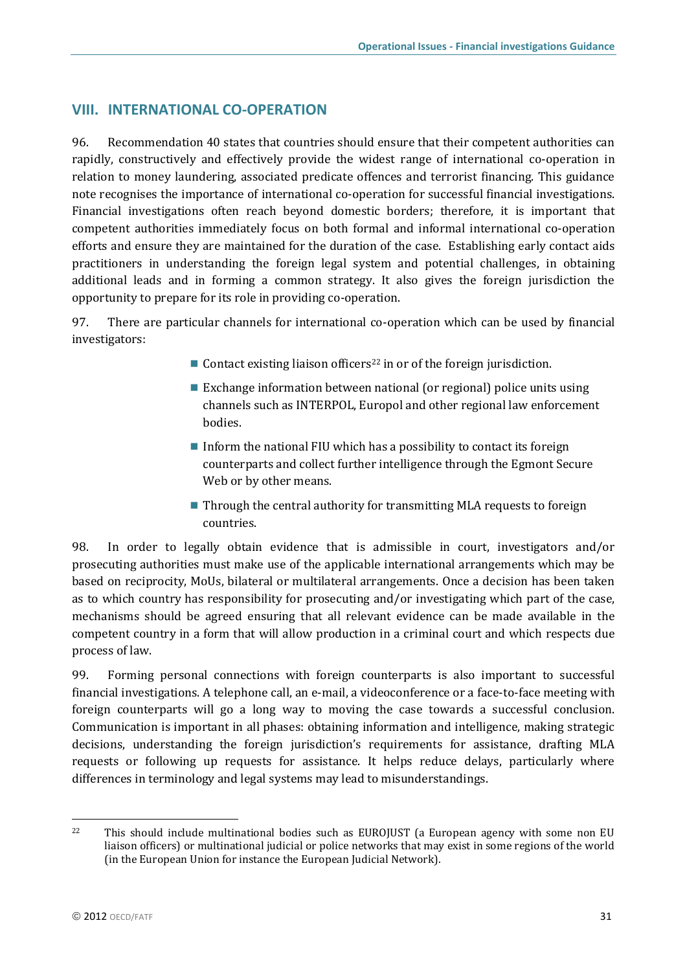## <span id="page-32-0"></span>**VIII. INTERNATIONAL CO-OPERATION**

96. Recommendation 40 states that countries should ensure that their competent authorities can rapidly, constructively and effectively provide the widest range of international co-operation in relation to money laundering, associated predicate offences and terrorist financing. This guidance note recognises the importance of international co-operation for successful financial investigations. Financial investigations often reach beyond domestic borders; therefore, it is important that competent authorities immediately focus on both formal and informal international co-operation efforts and ensure they are maintained for the duration of the case. Establishing early contact aids practitioners in understanding the foreign legal system and potential challenges, in obtaining additional leads and in forming a common strategy. It also gives the foreign jurisdiction the opportunity to prepare for its role in providing co-operation.

97. There are particular channels for international co-operation which can be used by financial investigators:

- Contact existing liaison officers<sup>22</sup> in or of the foreign jurisdiction.
- Exchange information between national (or regional) police units using channels such as INTERPOL, Europol and other regional law enforcement bodies.
- Inform the national FIU which has a possibility to contact its foreign counterparts and collect further intelligence through the Egmont Secure Web or by other means.
- $\blacksquare$  Through the central authority for transmitting MLA requests to foreign countries.

98. In order to legally obtain evidence that is admissible in court, investigators and/or prosecuting authorities must make use of the applicable international arrangements which may be based on reciprocity, MoUs, bilateral or multilateral arrangements. Once a decision has been taken as to which country has responsibility for prosecuting and/or investigating which part of the case, mechanisms should be agreed ensuring that all relevant evidence can be made available in the competent country in a form that will allow production in a criminal court and which respects due process of law.

99. Forming personal connections with foreign counterparts is also important to successful financial investigations. A telephone call, an e-mail, a videoconference or a face-to-face meeting with foreign counterparts will go a long way to moving the case towards a successful conclusion. Communication is important in all phases: obtaining information and intelligence, making strategic decisions, understanding the foreign jurisdiction's requirements for assistance, drafting MLA requests or following up requests for assistance. It helps reduce delays, particularly where differences in terminology and legal systems may lead to misunderstandings.

l <sup>22</sup> This should include multinational bodies such as EUROJUST (a European agency with some non EU liaison officers) or multinational judicial or police networks that may exist in some regions of the world (in the European Union for instance the European Judicial Network).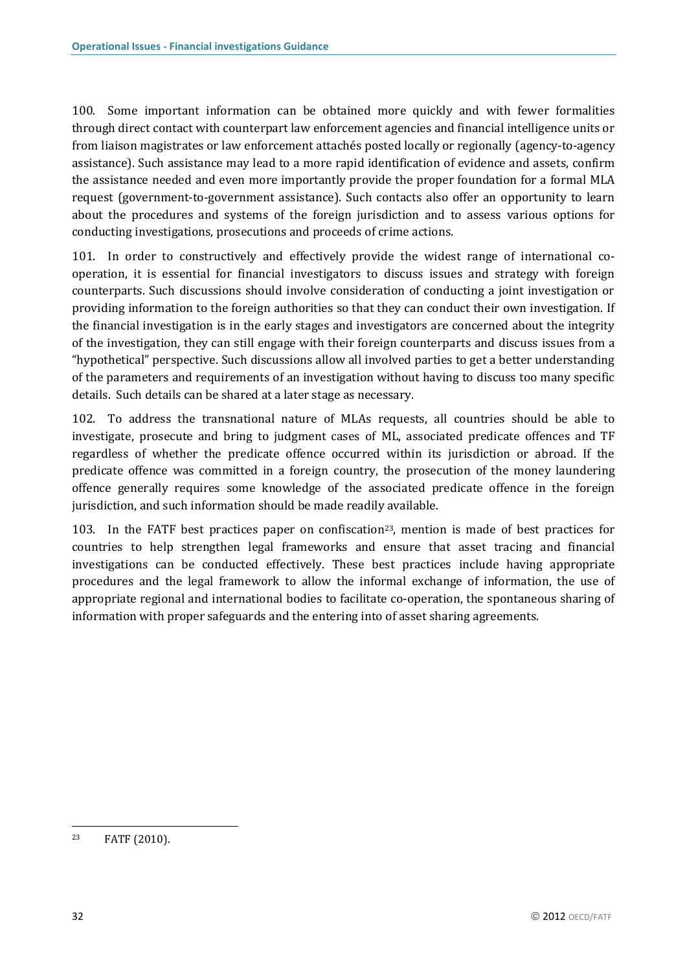100. Some important information can be obtained more quickly and with fewer formalities through direct contact with counterpart law enforcement agencies and financial intelligence units or from liaison magistrates or law enforcement attachés posted locally or regionally (agency-to-agency assistance). Such assistance may lead to a more rapid identification of evidence and assets, confirm the assistance needed and even more importantly provide the proper foundation for a formal MLA request (government-to-government assistance). Such contacts also offer an opportunity to learn about the procedures and systems of the foreign jurisdiction and to assess various options for conducting investigations, prosecutions and proceeds of crime actions.

101. In order to constructively and effectively provide the widest range of international cooperation, it is essential for financial investigators to discuss issues and strategy with foreign counterparts. Such discussions should involve consideration of conducting a joint investigation or providing information to the foreign authorities so that they can conduct their own investigation. If the financial investigation is in the early stages and investigators are concerned about the integrity of the investigation, they can still engage with their foreign counterparts and discuss issues from a "hypothetical" perspective. Such discussions allow all involved parties to get a better understanding of the parameters and requirements of an investigation without having to discuss too many specific details. Such details can be shared at a later stage as necessary.

102. To address the transnational nature of MLAs requests, all countries should be able to investigate, prosecute and bring to judgment cases of ML, associated predicate offences and TF regardless of whether the predicate offence occurred within its jurisdiction or abroad. If the predicate offence was committed in a foreign country, the prosecution of the money laundering offence generally requires some knowledge of the associated predicate offence in the foreign jurisdiction, and such information should be made readily available.

103. In the FATF best practices paper on confiscation<sup>23</sup>, mention is made of best practices for countries to help strengthen legal frameworks and ensure that asset tracing and financial investigations can be conducted effectively. These best practices include having appropriate procedures and the legal framework to allow the informal exchange of information, the use of appropriate regional and international bodies to facilitate co-operation, the spontaneous sharing of information with proper safeguards and the entering into of asset sharing agreements.

 $\overline{\phantom{a}}$ <sup>23</sup> FATF (2010).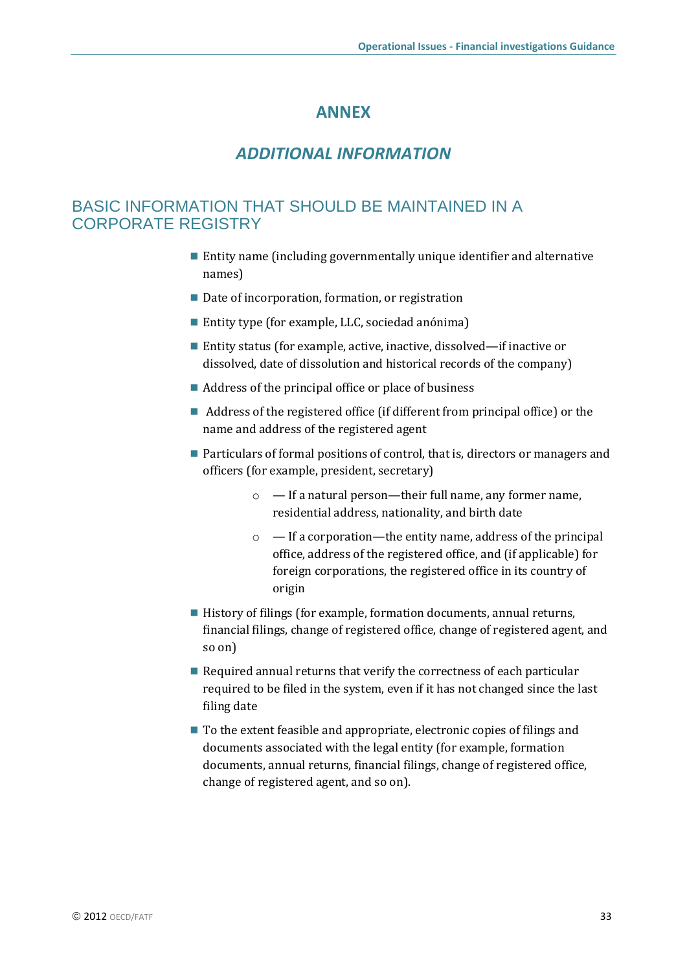## **ANNEX**

## *ADDITIONAL INFORMATION*

## <span id="page-34-0"></span>BASIC INFORMATION THAT SHOULD BE MAINTAINED IN A CORPORATE REGISTRY

- Entity name (including governmentally unique identifier and alternative names)
- Date of incorporation, formation, or registration
- Entity type (for example, LLC, sociedad anónima)
- Entity status (for example, active, inactive, dissolved—if inactive or dissolved, date of dissolution and historical records of the company)
- Address of the principal office or place of business
- Address of the registered office (if different from principal office) or the name and address of the registered agent
- Particulars of formal positions of control, that is, directors or managers and officers (for example, president, secretary)
	- o If a natural person—their full name, any former name, residential address, nationality, and birth date
	- $\circ$  If a corporation—the entity name, address of the principal office, address of the registered office, and (if applicable) for foreign corporations, the registered office in its country of origin
- History of filings (for example, formation documents, annual returns, financial filings, change of registered office, change of registered agent, and so on)
- Required annual returns that verify the correctness of each particular required to be filed in the system, even if it has not changed since the last filing date
- To the extent feasible and appropriate, electronic copies of filings and documents associated with the legal entity (for example, formation documents, annual returns, financial filings, change of registered office, change of registered agent, and so on).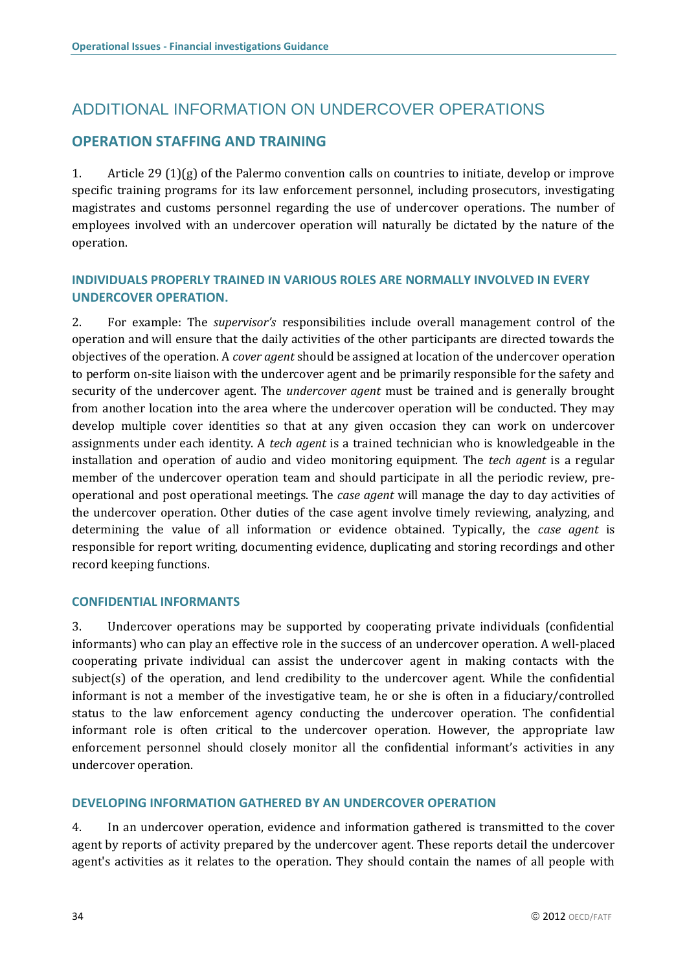# ADDITIONAL INFORMATION ON UNDERCOVER OPERATIONS

## **OPERATION STAFFING AND TRAINING**

1. Article 29 (1)(g) of the Palermo convention calls on countries to initiate, develop or improve specific training programs for its law enforcement personnel, including prosecutors, investigating magistrates and customs personnel regarding the use of undercover operations. The number of employees involved with an undercover operation will naturally be dictated by the nature of the operation.

### **INDIVIDUALS PROPERLY TRAINED IN VARIOUS ROLES ARE NORMALLY INVOLVED IN EVERY UNDERCOVER OPERATION.**

2. For example: The *supervisor's* responsibilities include overall management control of the operation and will ensure that the daily activities of the other participants are directed towards the objectives of the operation. A *cover agent* should be assigned at location of the undercover operation to perform on-site liaison with the undercover agent and be primarily responsible for the safety and security of the undercover agent. The *undercover agent* must be trained and is generally brought from another location into the area where the undercover operation will be conducted. They may develop multiple cover identities so that at any given occasion they can work on undercover assignments under each identity. A *tech agent* is a trained technician who is knowledgeable in the installation and operation of audio and video monitoring equipment. The *tech agent* is a regular member of the undercover operation team and should participate in all the periodic review, preoperational and post operational meetings. The *case agent* will manage the day to day activities of the undercover operation. Other duties of the case agent involve timely reviewing, analyzing, and determining the value of all information or evidence obtained. Typically, the *case agent* is responsible for report writing, documenting evidence, duplicating and storing recordings and other record keeping functions.

#### **CONFIDENTIAL INFORMANTS**

3. Undercover operations may be supported by cooperating private individuals (confidential informants) who can play an effective role in the success of an undercover operation. A well-placed cooperating private individual can assist the undercover agent in making contacts with the subject(s) of the operation, and lend credibility to the undercover agent. While the confidential informant is not a member of the investigative team, he or she is often in a fiduciary/controlled status to the law enforcement agency conducting the undercover operation. The confidential informant role is often critical to the undercover operation. However, the appropriate law enforcement personnel should closely monitor all the confidential informant's activities in any undercover operation.

### **DEVELOPING INFORMATION GATHERED BY AN UNDERCOVER OPERATION**

4. In an undercover operation, evidence and information gathered is transmitted to the cover agent by reports of activity prepared by the undercover agent. These reports detail the undercover agent's activities as it relates to the operation. They should contain the names of all people with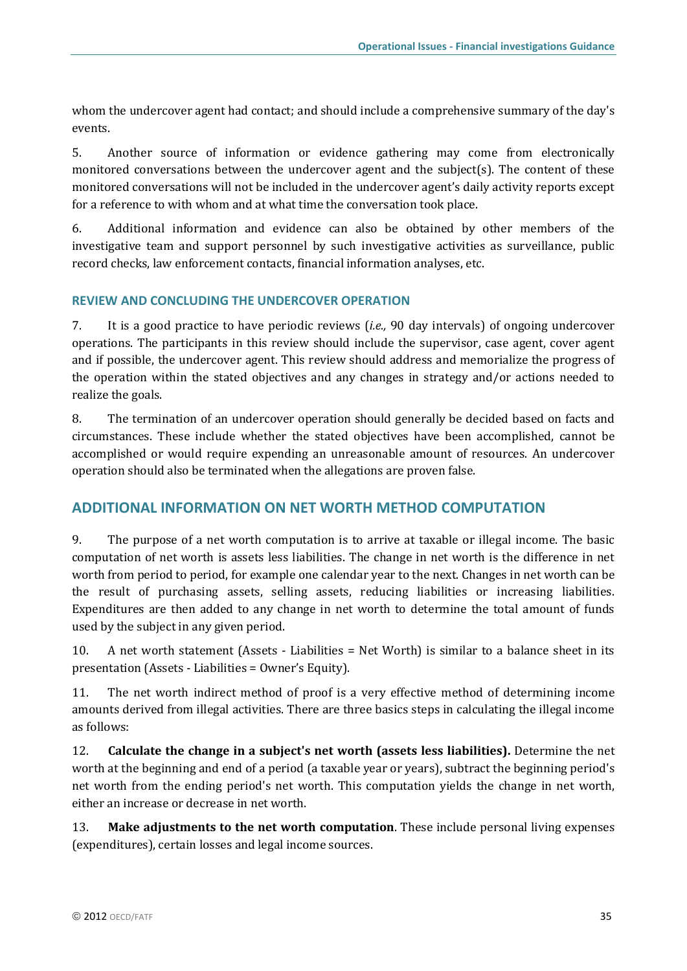whom the undercover agent had contact; and should include a comprehensive summary of the day's events.

5. Another source of information or evidence gathering may come from electronically monitored conversations between the undercover agent and the subject(s). The content of these monitored conversations will not be included in the undercover agent's daily activity reports except for a reference to with whom and at what time the conversation took place.

6. Additional information and evidence can also be obtained by other members of the investigative team and support personnel by such investigative activities as surveillance, public record checks, law enforcement contacts, financial information analyses, etc.

### **REVIEW AND CONCLUDING THE UNDERCOVER OPERATION**

7. It is a good practice to have periodic reviews (*i.e.,* 90 day intervals) of ongoing undercover operations. The participants in this review should include the supervisor, case agent, cover agent and if possible, the undercover agent. This review should address and memorialize the progress of the operation within the stated objectives and any changes in strategy and/or actions needed to realize the goals.

8. The termination of an undercover operation should generally be decided based on facts and circumstances. These include whether the stated objectives have been accomplished, cannot be accomplished or would require expending an unreasonable amount of resources. An undercover operation should also be terminated when the allegations are proven false.

### **ADDITIONAL INFORMATION ON NET WORTH METHOD COMPUTATION**

9. The purpose of a net worth computation is to arrive at taxable or illegal income. The basic computation of net worth is assets less liabilities. The change in net worth is the difference in net worth from period to period, for example one calendar year to the next. Changes in net worth can be the result of purchasing assets, selling assets, reducing liabilities or increasing liabilities. Expenditures are then added to any change in net worth to determine the total amount of funds used by the subject in any given period.

10. A net worth statement (Assets - Liabilities = Net Worth) is similar to a balance sheet in its presentation (Assets - Liabilities = Owner's Equity).

11. The net worth indirect method of proof is a very effective method of determining income amounts derived from illegal activities. There are three basics steps in calculating the illegal income as follows:

12. **Calculate the change in a subject's net worth (assets less liabilities).** Determine the net worth at the beginning and end of a period (a taxable year or years), subtract the beginning period's net worth from the ending period's net worth. This computation yields the change in net worth, either an increase or decrease in net worth.

13. **Make adjustments to the net worth computation**. These include personal living expenses (expenditures), certain losses and legal income sources.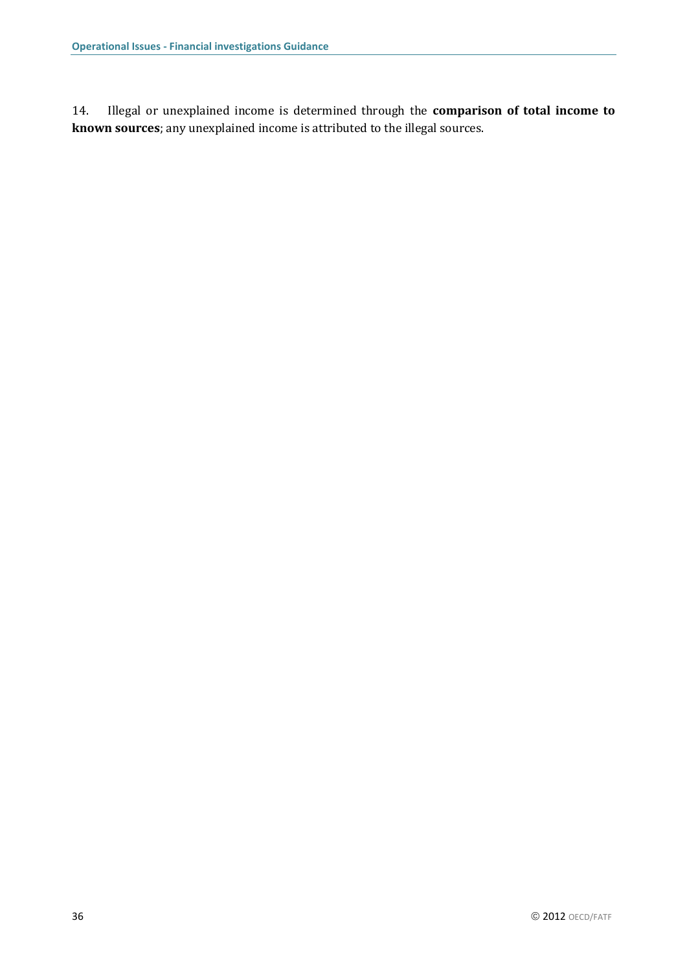14. Illegal or unexplained income is determined through the **comparison of total income to known sources**; any unexplained income is attributed to the illegal sources.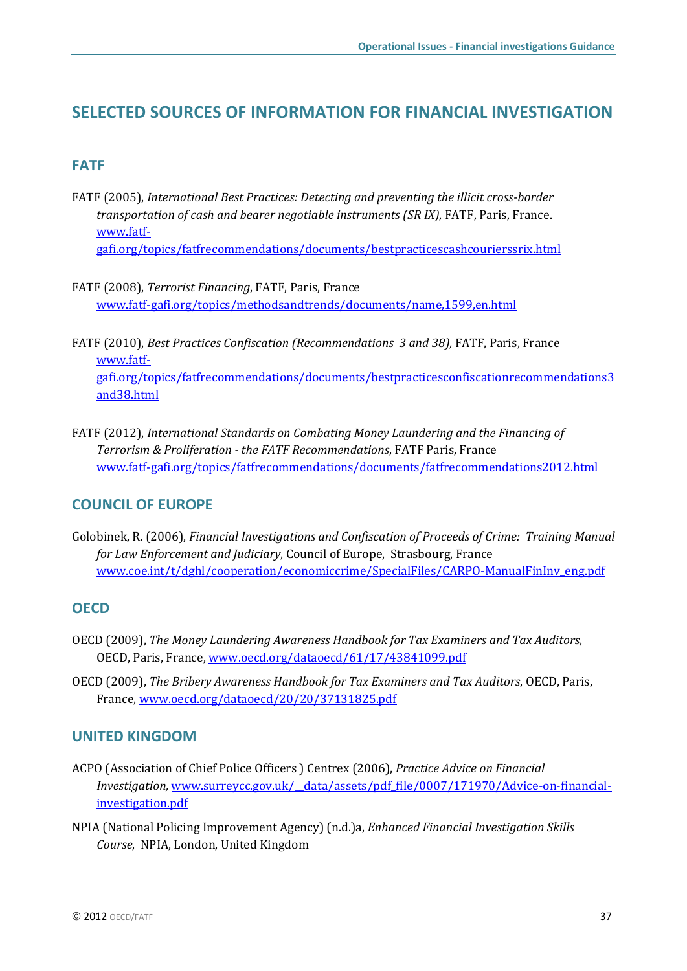# <span id="page-38-0"></span>**SELECTED SOURCES OF INFORMATION FOR FINANCIAL INVESTIGATION**

## **FATF**

- FATF (2005), *International Best Practices: Detecting and preventing the illicit cross-border transportation of cash and bearer negotiable instruments (SR IX)*, FATF, Paris, France. [www.fatf](http://www.fatf-gafi.org/topics/fatfrecommendations/documents/bestpracticescashcourierssrix.html)[gafi.org/topics/fatfrecommendations/documents/bestpracticescashcourierssrix.html](http://www.fatf-gafi.org/topics/fatfrecommendations/documents/bestpracticescashcourierssrix.html)
- FATF (2008), *Terrorist Financing*, FATF, Paris, France [www.fatf-gafi.org/topics/methodsandtrends/documents/name,1599,en.html](http://www.fatf-gafi.org/topics/methodsandtrends/documents/name,1599,en.html)
- FATF (2010), *Best Practices Confiscation (Recommendations 3 and 38),* FATF, Paris, France [www.fatf](http://www.fatf-gafi.org/topics/fatfrecommendations/documents/bestpracticesconfiscationrecommendations3and38.html)[gafi.org/topics/fatfrecommendations/documents/bestpracticesconfiscationrecommendations3](http://www.fatf-gafi.org/topics/fatfrecommendations/documents/bestpracticesconfiscationrecommendations3and38.html) [and38.html](http://www.fatf-gafi.org/topics/fatfrecommendations/documents/bestpracticesconfiscationrecommendations3and38.html)
- FATF (2012), *International Standards on Combating Money Laundering and the Financing of Terrorism & Proliferation - the FATF Recommendations*, FATF Paris, France [www.fatf-gafi.org/topics/fatfrecommendations/documents/fatfrecommendations2012.html](http://www.fatf-gafi.org/topics/fatfrecommendations/documents/fatfrecommendations2012.html)

## **COUNCIL OF EUROPE**

Golobinek, R. (2006), *Financial Investigations and Confiscation of Proceeds of Crime: Training Manual for Law Enforcement and Judiciary*, Council of Europe, Strasbourg, France [www.coe.int/t/dghl/cooperation/economiccrime/SpecialFiles/CARPO-ManualFinInv\\_eng.pdf](http://www.coe.int/t/dghl/cooperation/economiccrime/SpecialFiles/CARPO-ManualFinInv_eng.pdf)

## **OECD**

- OECD (2009), *The Money Laundering Awareness Handbook for Tax Examiners and Tax Auditors*, OECD, Paris, France, [www.oecd.org/dataoecd/61/17/43841099.pdf](http://www.oecd.org/dataoecd/61/17/43841099.pdf)
- OECD (2009), *The Bribery Awareness Handbook for Tax Examiners and Tax Auditors*, OECD, Paris, France[, www.oecd.org/dataoecd/20/20/37131825.pdf](http://www.oecd.org/dataoecd/20/20/37131825.pdf)

## **UNITED KINGDOM**

- ACPO (Association of Chief Police Officers ) Centrex (2006), *Practice Advice on Financial Investigation,* [www.surreycc.gov.uk/\\_\\_data/assets/pdf\\_file/0007/171970/Advice-on-financial](http://www.surreycc.gov.uk/__data/assets/pdf_file/0007/171970/Advice-on-financial-investigation.pdf)[investigation.pdf](http://www.surreycc.gov.uk/__data/assets/pdf_file/0007/171970/Advice-on-financial-investigation.pdf)
- NPIA (National Policing Improvement Agency) (n.d.)a, *Enhanced Financial Investigation Skills Course*, NPIA, London, United Kingdom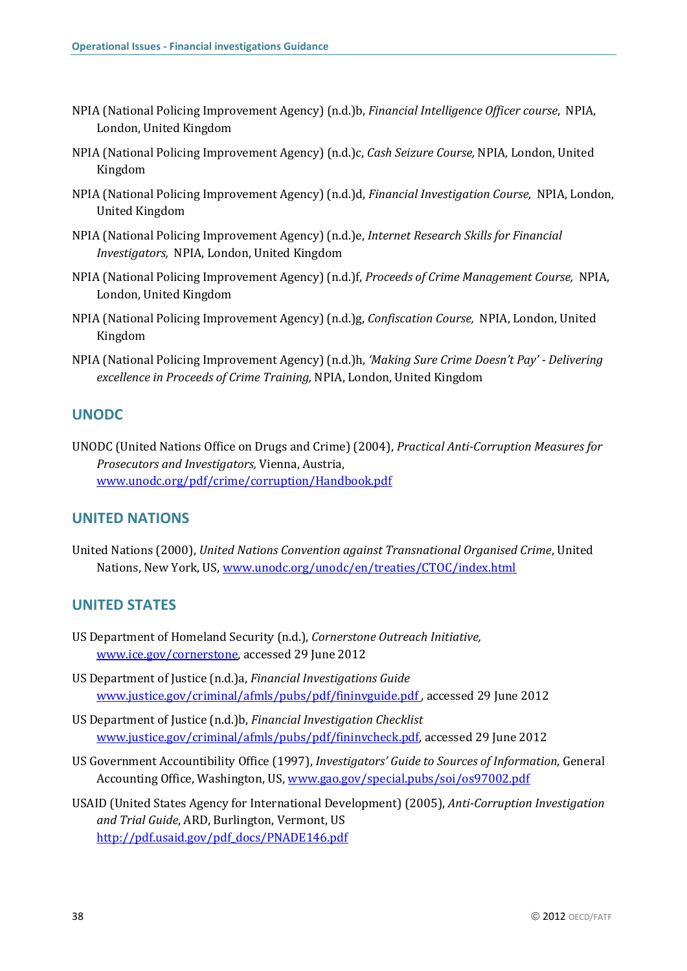- NPIA (National Policing Improvement Agency) (n.d.)b, *Financial Intelligence Officer course*, NPIA, London, United Kingdom
- NPIA (National Policing Improvement Agency) (n.d.)c, *Cash Seizure Course,* NPIA, London, United Kingdom
- NPIA (National Policing Improvement Agency) (n.d.)d, *Financial Investigation Course,* NPIA, London, United Kingdom
- NPIA (National Policing Improvement Agency) (n.d.)e, *Internet Research Skills for Financial Investigators,* NPIA, London, United Kingdom
- NPIA (National Policing Improvement Agency) (n.d.)f, *Proceeds of Crime Management Course,* NPIA, London, United Kingdom
- NPIA (National Policing Improvement Agency) (n.d.)g, *Confiscation Course,* NPIA, London, United Kingdom
- NPIA (National Policing Improvement Agency) (n.d.)h, *'Making Sure Crime Doesn't Pay' - Delivering excellence in Proceeds of Crime Training,* NPIA, London, United Kingdom

## **UNODC**

UNODC (United Nations Office on Drugs and Crime) (2004), *Practical Anti-Corruption Measures for Prosecutors and Investigators,* Vienna, Austria, [www.unodc.org/pdf/crime/corruption/Handbook.pdf](http://www.unodc.org/pdf/crime/corruption/Handbook.pdf)

## **UNITED NATIONS**

United Nations (2000), *United Nations Convention against Transnational Organised Crime*, United Nations, New York, US, [www.unodc.org/unodc/en/treaties/CTOC/index.html](http://www.unodc.org/unodc/en/treaties/CTOC/index.html)

## **UNITED STATES**

- US Department of Homeland Security (n.d.), *Cornerstone Outreach Initiative,*  [www.ice.gov/cornerstone,](http://www.ice.gov/cornerstone) accessed 29 June 2012
- US Department of Justice (n.d.)a, *Financial Investigations Guide* [www.justice.gov/criminal/afmls/pubs/pdf/fininvguide.pdf](http://www.justice.gov/criminal/afmls/pubs/pdf/fininvguide.pdf), accessed 29 June 2012
- US Department of Justice (n.d.)b, *Financial Investigation Checklist* [www.justice.gov/criminal/afmls/pubs/pdf/fininvcheck.pdf,](http://www.justice.gov/criminal/afmls/pubs/pdf/fininvcheck.pdf) accessed 29 June 2012
- US Government Accountibility Office (1997), *Investigators' Guide to Sources of Information*, General Accounting Office, Washington, US[, www.gao.gov/special.pubs/soi/os97002.pdf](http://www.gao.gov/special.pubs/soi/os97002.pdf)
- USAID (United States Agency for International Development) (2005), *Anti-Corruption Investigation and Trial Guide*, ARD, Burlington, Vermont, US [http://pdf.usaid.gov/pdf\\_docs/PNADE146.pdf](http://pdf.usaid.gov/pdf_docs/PNADE146.pdf)